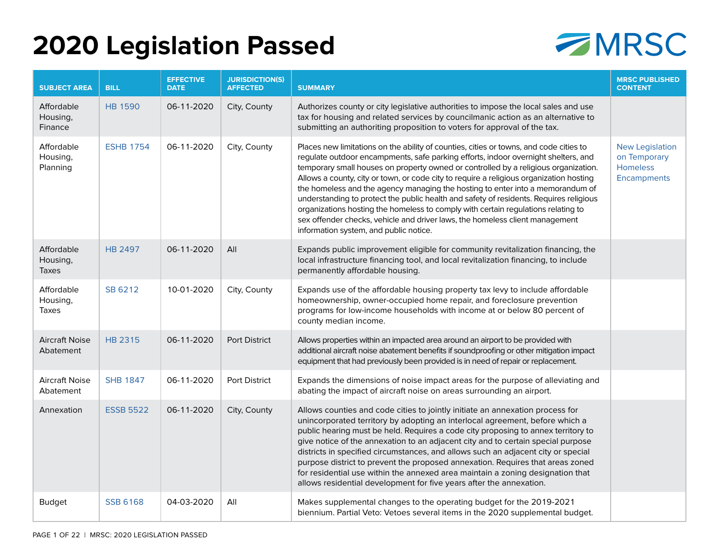## **2020 Legislation Passed**



| <b>SUBJECT AREA</b>                    | <b>BILL</b>      | <b>EFFECTIVE</b><br><b>DATE</b> | <b>JURISDICTION(S)</b><br><b>AFFECTED</b> | <b>SUMMARY</b>                                                                                                                                                                                                                                                                                                                                                                                                                                                                                                                                                                                                                                                                                                                                            | <b>MRSC PUBLISHED</b><br><b>CONTENT</b>                           |
|----------------------------------------|------------------|---------------------------------|-------------------------------------------|-----------------------------------------------------------------------------------------------------------------------------------------------------------------------------------------------------------------------------------------------------------------------------------------------------------------------------------------------------------------------------------------------------------------------------------------------------------------------------------------------------------------------------------------------------------------------------------------------------------------------------------------------------------------------------------------------------------------------------------------------------------|-------------------------------------------------------------------|
| Affordable<br>Housing,<br>Finance      | <b>HB 1590</b>   | 06-11-2020                      | City, County                              | Authorizes county or city legislative authorities to impose the local sales and use<br>tax for housing and related services by councilmanic action as an alternative to<br>submitting an authoriting proposition to voters for approval of the tax.                                                                                                                                                                                                                                                                                                                                                                                                                                                                                                       |                                                                   |
| Affordable<br>Housing,<br>Planning     | <b>ESHB 1754</b> | 06-11-2020                      | City, County                              | Places new limitations on the ability of counties, cities or towns, and code cities to<br>regulate outdoor encampments, safe parking efforts, indoor overnight shelters, and<br>temporary small houses on property owned or controlled by a religious organization.<br>Allows a county, city or town, or code city to require a religious organization hosting<br>the homeless and the agency managing the hosting to enter into a memorandum of<br>understanding to protect the public health and safety of residents. Requires religious<br>organizations hosting the homeless to comply with certain regulations relating to<br>sex offender checks, vehicle and driver laws, the homeless client management<br>information system, and public notice. | <b>New Legislation</b><br>on Temporary<br>Homeless<br>Encampments |
| Affordable<br>Housing,<br>Taxes        | <b>HB 2497</b>   | 06-11-2020                      | All                                       | Expands public improvement eligible for community revitalization financing, the<br>local infrastructure financing tool, and local revitalization financing, to include<br>permanently affordable housing.                                                                                                                                                                                                                                                                                                                                                                                                                                                                                                                                                 |                                                                   |
| Affordable<br>Housing,<br><b>Taxes</b> | SB 6212          | 10-01-2020                      | City, County                              | Expands use of the affordable housing property tax levy to include affordable<br>homeownership, owner-occupied home repair, and foreclosure prevention<br>programs for low-income households with income at or below 80 percent of<br>county median income.                                                                                                                                                                                                                                                                                                                                                                                                                                                                                               |                                                                   |
| <b>Aircraft Noise</b><br>Abatement     | <b>HB 2315</b>   | 06-11-2020                      | <b>Port District</b>                      | Allows properties within an impacted area around an airport to be provided with<br>additional aircraft noise abatement benefits if soundproofing or other mitigation impact<br>equipment that had previously been provided is in need of repair or replacement.                                                                                                                                                                                                                                                                                                                                                                                                                                                                                           |                                                                   |
| <b>Aircraft Noise</b><br>Abatement     | <b>SHB 1847</b>  | 06-11-2020                      | <b>Port District</b>                      | Expands the dimensions of noise impact areas for the purpose of alleviating and<br>abating the impact of aircraft noise on areas surrounding an airport.                                                                                                                                                                                                                                                                                                                                                                                                                                                                                                                                                                                                  |                                                                   |
| Annexation                             | <b>ESSB 5522</b> | 06-11-2020                      | City, County                              | Allows counties and code cities to jointly initiate an annexation process for<br>unincorporated territory by adopting an interlocal agreement, before which a<br>public hearing must be held. Requires a code city proposing to annex territory to<br>give notice of the annexation to an adjacent city and to certain special purpose<br>districts in specified circumstances, and allows such an adjacent city or special<br>purpose district to prevent the proposed annexation. Requires that areas zoned<br>for residential use within the annexed area maintain a zoning designation that<br>allows residential development for five years after the annexation.                                                                                    |                                                                   |
| <b>Budget</b>                          | <b>SSB 6168</b>  | 04-03-2020                      | All                                       | Makes supplemental changes to the operating budget for the 2019-2021<br>biennium. Partial Veto: Vetoes several items in the 2020 supplemental budget.                                                                                                                                                                                                                                                                                                                                                                                                                                                                                                                                                                                                     |                                                                   |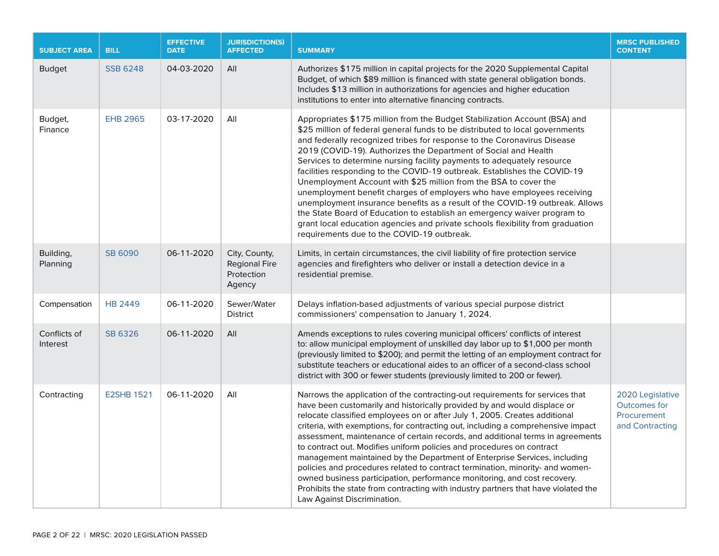| <b>SUBJECT AREA</b>      | <b>BILL</b>       | <b>EFFECTIVE</b><br><b>DATE</b> | <b>JURISDICTION(S)</b><br><b>AFFECTED</b>                     | <b>SUMMARY</b>                                                                                                                                                                                                                                                                                                                                                                                                                                                                                                                                                                                                                                                                                                                                                                                                                                                                                           | <b>MRSC PUBLISHED</b><br><b>CONTENT</b>                                   |
|--------------------------|-------------------|---------------------------------|---------------------------------------------------------------|----------------------------------------------------------------------------------------------------------------------------------------------------------------------------------------------------------------------------------------------------------------------------------------------------------------------------------------------------------------------------------------------------------------------------------------------------------------------------------------------------------------------------------------------------------------------------------------------------------------------------------------------------------------------------------------------------------------------------------------------------------------------------------------------------------------------------------------------------------------------------------------------------------|---------------------------------------------------------------------------|
| <b>Budget</b>            | <b>SSB 6248</b>   | 04-03-2020                      | All                                                           | Authorizes \$175 million in capital projects for the 2020 Supplemental Capital<br>Budget, of which \$89 million is financed with state general obligation bonds.<br>Includes \$13 million in authorizations for agencies and higher education<br>institutions to enter into alternative financing contracts.                                                                                                                                                                                                                                                                                                                                                                                                                                                                                                                                                                                             |                                                                           |
| Budget,<br>Finance       | <b>EHB 2965</b>   | 03-17-2020                      | All                                                           | Appropriates \$175 million from the Budget Stabilization Account (BSA) and<br>\$25 million of federal general funds to be distributed to local governments<br>and federally recognized tribes for response to the Coronavirus Disease<br>2019 (COVID-19). Authorizes the Department of Social and Health<br>Services to determine nursing facility payments to adequately resource<br>facilities responding to the COVID-19 outbreak. Establishes the COVID-19<br>Unemployment Account with \$25 million from the BSA to cover the<br>unemployment benefit charges of employers who have employees receiving<br>unemployment insurance benefits as a result of the COVID-19 outbreak. Allows<br>the State Board of Education to establish an emergency waiver program to<br>grant local education agencies and private schools flexibility from graduation<br>requirements due to the COVID-19 outbreak. |                                                                           |
| Building,<br>Planning    | <b>SB 6090</b>    | 06-11-2020                      | City, County,<br><b>Regional Fire</b><br>Protection<br>Agency | Limits, in certain circumstances, the civil liability of fire protection service<br>agencies and firefighters who deliver or install a detection device in a<br>residential premise.                                                                                                                                                                                                                                                                                                                                                                                                                                                                                                                                                                                                                                                                                                                     |                                                                           |
| Compensation             | <b>HB 2449</b>    | 06-11-2020                      | Sewer/Water<br><b>District</b>                                | Delays inflation-based adjustments of various special purpose district<br>commissioners' compensation to January 1, 2024.                                                                                                                                                                                                                                                                                                                                                                                                                                                                                                                                                                                                                                                                                                                                                                                |                                                                           |
| Conflicts of<br>Interest | <b>SB 6326</b>    | 06-11-2020                      | All                                                           | Amends exceptions to rules covering municipal officers' conflicts of interest<br>to: allow municipal employment of unskilled day labor up to \$1,000 per month<br>(previously limited to \$200); and permit the letting of an employment contract for<br>substitute teachers or educational aides to an officer of a second-class school<br>district with 300 or fewer students (previously limited to 200 or fewer).                                                                                                                                                                                                                                                                                                                                                                                                                                                                                    |                                                                           |
| Contracting              | <b>E2SHB 1521</b> | 06-11-2020                      | All                                                           | Narrows the application of the contracting-out requirements for services that<br>have been customarily and historically provided by and would displace or<br>relocate classified employees on or after July 1, 2005. Creates additional<br>criteria, with exemptions, for contracting out, including a comprehensive impact<br>assessment, maintenance of certain records, and additional terms in agreements<br>to contract out. Modifies uniform policies and procedures on contract<br>management maintained by the Department of Enterprise Services, including<br>policies and procedures related to contract termination, minority- and women-<br>owned business participation, performance monitoring, and cost recovery.<br>Prohibits the state from contracting with industry partners that have violated the<br>Law Against Discrimination.                                                    | 2020 Legislative<br><b>Outcomes for</b><br>Procurement<br>and Contracting |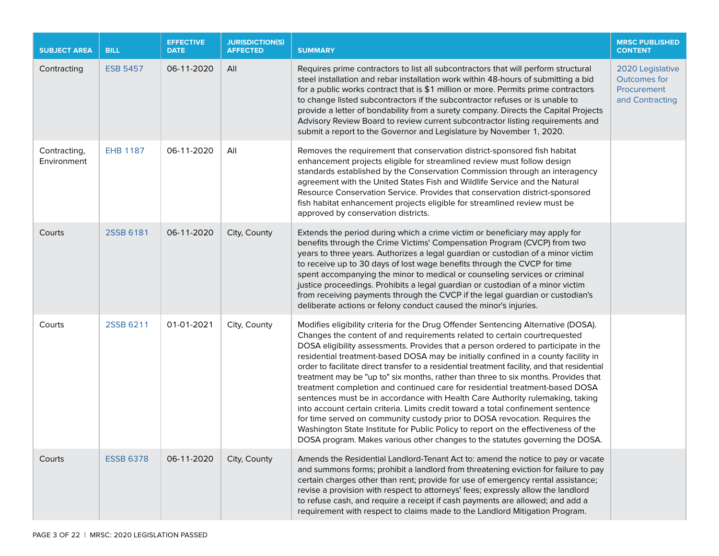| <b>SUBJECT AREA</b>         | <b>BILL</b>      | <b>EFFECTIVE</b><br><b>DATE</b> | <b>JURISDICTION(S)</b><br><b>AFFECTED</b> | <b>SUMMARY</b>                                                                                                                                                                                                                                                                                                                                                                                                                                                                                                                                                                                                                                                                                                                                                                                                                                                                                                                                                                                                                                 | <b>MRSC PUBLISHED</b><br><b>CONTENT</b>                                   |
|-----------------------------|------------------|---------------------------------|-------------------------------------------|------------------------------------------------------------------------------------------------------------------------------------------------------------------------------------------------------------------------------------------------------------------------------------------------------------------------------------------------------------------------------------------------------------------------------------------------------------------------------------------------------------------------------------------------------------------------------------------------------------------------------------------------------------------------------------------------------------------------------------------------------------------------------------------------------------------------------------------------------------------------------------------------------------------------------------------------------------------------------------------------------------------------------------------------|---------------------------------------------------------------------------|
| Contracting                 | <b>ESB 5457</b>  | 06-11-2020                      | All                                       | Requires prime contractors to list all subcontractors that will perform structural<br>steel installation and rebar installation work within 48-hours of submitting a bid<br>for a public works contract that is \$1 million or more. Permits prime contractors<br>to change listed subcontractors if the subcontractor refuses or is unable to<br>provide a letter of bondability from a surety company. Directs the Capital Projects<br>Advisory Review Board to review current subcontractor listing requirements and<br>submit a report to the Governor and Legislature by November 1, 2020.                                                                                                                                                                                                                                                                                                                                                                                                                                                | 2020 Legislative<br><b>Outcomes for</b><br>Procurement<br>and Contracting |
| Contracting,<br>Environment | <b>EHB 1187</b>  | 06-11-2020                      | All                                       | Removes the requirement that conservation district-sponsored fish habitat<br>enhancement projects eligible for streamlined review must follow design<br>standards established by the Conservation Commission through an interagency<br>agreement with the United States Fish and Wildlife Service and the Natural<br>Resource Conservation Service. Provides that conservation district-sponsored<br>fish habitat enhancement projects eligible for streamlined review must be<br>approved by conservation districts.                                                                                                                                                                                                                                                                                                                                                                                                                                                                                                                          |                                                                           |
| Courts                      | 2SSB 6181        | 06-11-2020                      | City, County                              | Extends the period during which a crime victim or beneficiary may apply for<br>benefits through the Crime Victims' Compensation Program (CVCP) from two<br>years to three years. Authorizes a legal guardian or custodian of a minor victim<br>to receive up to 30 days of lost wage benefits through the CVCP for time<br>spent accompanying the minor to medical or counseling services or criminal<br>justice proceedings. Prohibits a legal guardian or custodian of a minor victim<br>from receiving payments through the CVCP if the legal guardian or custodian's<br>deliberate actions or felony conduct caused the minor's injuries.                                                                                                                                                                                                                                                                                                                                                                                                  |                                                                           |
| Courts                      | 2SSB 6211        | 01-01-2021                      | City, County                              | Modifies eligibility criteria for the Drug Offender Sentencing Alternative (DOSA).<br>Changes the content of and requirements related to certain courtrequested<br>DOSA eligibility assessments. Provides that a person ordered to participate in the<br>residential treatment-based DOSA may be initially confined in a county facility in<br>order to facilitate direct transfer to a residential treatment facility, and that residential<br>treatment may be "up to" six months, rather than three to six months. Provides that<br>treatment completion and continued care for residential treatment-based DOSA<br>sentences must be in accordance with Health Care Authority rulemaking, taking<br>into account certain criteria. Limits credit toward a total confinement sentence<br>for time served on community custody prior to DOSA revocation. Requires the<br>Washington State Institute for Public Policy to report on the effectiveness of the<br>DOSA program. Makes various other changes to the statutes governing the DOSA. |                                                                           |
| Courts                      | <b>ESSB 6378</b> | 06-11-2020                      | City, County                              | Amends the Residential Landlord-Tenant Act to: amend the notice to pay or vacate<br>and summons forms; prohibit a landlord from threatening eviction for failure to pay<br>certain charges other than rent; provide for use of emergency rental assistance;<br>revise a provision with respect to attorneys' fees; expressly allow the landlord<br>to refuse cash, and require a receipt if cash payments are allowed; and add a<br>requirement with respect to claims made to the Landlord Mitigation Program.                                                                                                                                                                                                                                                                                                                                                                                                                                                                                                                                |                                                                           |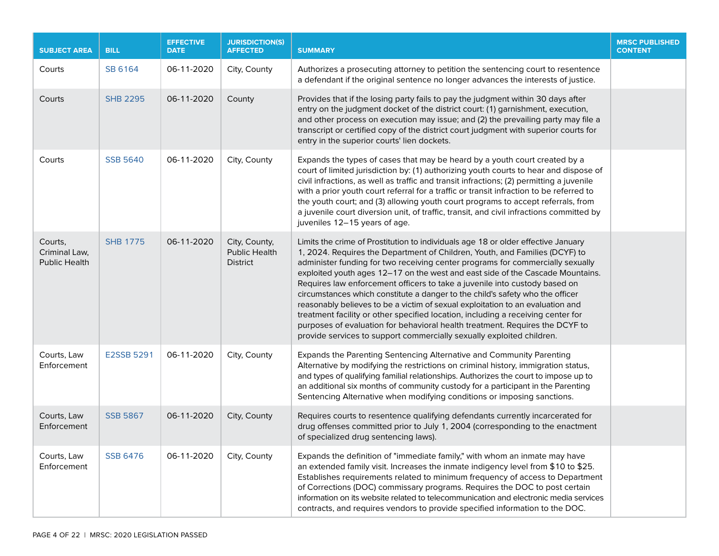| <b>SUBJECT AREA</b>                              | <b>BILL</b>       | <b>EFFECTIVE</b><br><b>DATE</b> | <b>JURISDICTION(S)</b><br><b>AFFECTED</b>                | <b>SUMMARY</b>                                                                                                                                                                                                                                                                                                                                                                                                                                                                                                                                                                                                                                                                                                                                                                                                                     | <b>MRSC PUBLISHED</b><br><b>CONTENT</b> |
|--------------------------------------------------|-------------------|---------------------------------|----------------------------------------------------------|------------------------------------------------------------------------------------------------------------------------------------------------------------------------------------------------------------------------------------------------------------------------------------------------------------------------------------------------------------------------------------------------------------------------------------------------------------------------------------------------------------------------------------------------------------------------------------------------------------------------------------------------------------------------------------------------------------------------------------------------------------------------------------------------------------------------------------|-----------------------------------------|
| Courts                                           | SB 6164           | 06-11-2020                      | City, County                                             | Authorizes a prosecuting attorney to petition the sentencing court to resentence<br>a defendant if the original sentence no longer advances the interests of justice.                                                                                                                                                                                                                                                                                                                                                                                                                                                                                                                                                                                                                                                              |                                         |
| Courts                                           | <b>SHB 2295</b>   | 06-11-2020                      | County                                                   | Provides that if the losing party fails to pay the judgment within 30 days after<br>entry on the judgment docket of the district court: (1) garnishment, execution,<br>and other process on execution may issue; and (2) the prevailing party may file a<br>transcript or certified copy of the district court judgment with superior courts for<br>entry in the superior courts' lien dockets.                                                                                                                                                                                                                                                                                                                                                                                                                                    |                                         |
| Courts                                           | <b>SSB 5640</b>   | 06-11-2020                      | City, County                                             | Expands the types of cases that may be heard by a youth court created by a<br>court of limited jurisdiction by: (1) authorizing youth courts to hear and dispose of<br>civil infractions, as well as traffic and transit infractions; (2) permitting a juvenile<br>with a prior youth court referral for a traffic or transit infraction to be referred to<br>the youth court; and (3) allowing youth court programs to accept referrals, from<br>a juvenile court diversion unit, of traffic, transit, and civil infractions committed by<br>juveniles 12-15 years of age.                                                                                                                                                                                                                                                        |                                         |
| Courts,<br>Criminal Law,<br><b>Public Health</b> | <b>SHB 1775</b>   | 06-11-2020                      | City, County,<br><b>Public Health</b><br><b>District</b> | Limits the crime of Prostitution to individuals age 18 or older effective January<br>1, 2024. Requires the Department of Children, Youth, and Families (DCYF) to<br>administer funding for two receiving center programs for commercially sexually<br>exploited youth ages 12-17 on the west and east side of the Cascade Mountains.<br>Requires law enforcement officers to take a juvenile into custody based on<br>circumstances which constitute a danger to the child's safety who the officer<br>reasonably believes to be a victim of sexual exploitation to an evaluation and<br>treatment facility or other specified location, including a receiving center for<br>purposes of evaluation for behavioral health treatment. Requires the DCYF to<br>provide services to support commercially sexually exploited children. |                                         |
| Courts, Law<br>Enforcement                       | <b>E2SSB 5291</b> | 06-11-2020                      | City, County                                             | Expands the Parenting Sentencing Alternative and Community Parenting<br>Alternative by modifying the restrictions on criminal history, immigration status,<br>and types of qualifying familial relationships. Authorizes the court to impose up to<br>an additional six months of community custody for a participant in the Parenting<br>Sentencing Alternative when modifying conditions or imposing sanctions.                                                                                                                                                                                                                                                                                                                                                                                                                  |                                         |
| Courts, Law<br>Enforcement                       | <b>SSB 5867</b>   | 06-11-2020                      | City, County                                             | Requires courts to resentence qualifying defendants currently incarcerated for<br>drug offenses committed prior to July 1, 2004 (corresponding to the enactment<br>of specialized drug sentencing laws).                                                                                                                                                                                                                                                                                                                                                                                                                                                                                                                                                                                                                           |                                         |
| Courts, Law<br>Enforcement                       | <b>SSB 6476</b>   | 06-11-2020                      | City, County                                             | Expands the definition of "immediate family," with whom an inmate may have<br>an extended family visit. Increases the inmate indigency level from \$10 to \$25.<br>Establishes requirements related to minimum frequency of access to Department<br>of Corrections (DOC) commissary programs. Requires the DOC to post certain<br>information on its website related to telecommunication and electronic media services<br>contracts, and requires vendors to provide specified information to the DOC.                                                                                                                                                                                                                                                                                                                            |                                         |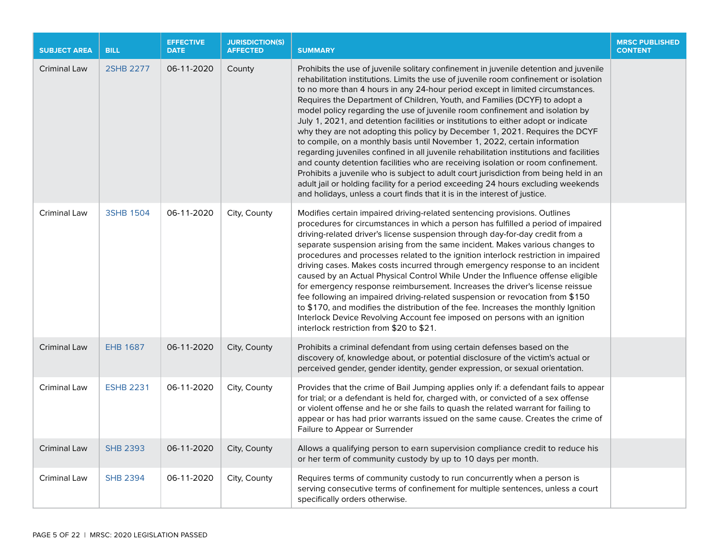| <b>SUBJECT AREA</b> | <b>BILL</b>      | <b>EFFECTIVE</b><br><b>DATE</b> | <b>JURISDICTION(S)</b><br><b>AFFECTED</b> | <b>SUMMARY</b>                                                                                                                                                                                                                                                                                                                                                                                                                                                                                                                                                                                                                                                                                                                                                                                                                                                                                                                                                                                                                                                                                                               | <b>MRSC PUBLISHED</b><br><b>CONTENT</b> |
|---------------------|------------------|---------------------------------|-------------------------------------------|------------------------------------------------------------------------------------------------------------------------------------------------------------------------------------------------------------------------------------------------------------------------------------------------------------------------------------------------------------------------------------------------------------------------------------------------------------------------------------------------------------------------------------------------------------------------------------------------------------------------------------------------------------------------------------------------------------------------------------------------------------------------------------------------------------------------------------------------------------------------------------------------------------------------------------------------------------------------------------------------------------------------------------------------------------------------------------------------------------------------------|-----------------------------------------|
| <b>Criminal Law</b> | 2SHB 2277        | 06-11-2020                      | County                                    | Prohibits the use of juvenile solitary confinement in juvenile detention and juvenile<br>rehabilitation institutions. Limits the use of juvenile room confinement or isolation<br>to no more than 4 hours in any 24-hour period except in limited circumstances.<br>Requires the Department of Children, Youth, and Families (DCYF) to adopt a<br>model policy regarding the use of juvenile room confinement and isolation by<br>July 1, 2021, and detention facilities or institutions to either adopt or indicate<br>why they are not adopting this policy by December 1, 2021. Requires the DCYF<br>to compile, on a monthly basis until November 1, 2022, certain information<br>regarding juveniles confined in all juvenile rehabilitation institutions and facilities<br>and county detention facilities who are receiving isolation or room confinement.<br>Prohibits a juvenile who is subject to adult court jurisdiction from being held in an<br>adult jail or holding facility for a period exceeding 24 hours excluding weekends<br>and holidays, unless a court finds that it is in the interest of justice. |                                         |
| Criminal Law        | <b>3SHB 1504</b> | 06-11-2020                      | City, County                              | Modifies certain impaired driving-related sentencing provisions. Outlines<br>procedures for circumstances in which a person has fulfilled a period of impaired<br>driving-related driver's license suspension through day-for-day credit from a<br>separate suspension arising from the same incident. Makes various changes to<br>procedures and processes related to the ignition interlock restriction in impaired<br>driving cases. Makes costs incurred through emergency response to an incident<br>caused by an Actual Physical Control While Under the Influence offense eligible<br>for emergency response reimbursement. Increases the driver's license reissue<br>fee following an impaired driving-related suspension or revocation from \$150<br>to \$170, and modifies the distribution of the fee. Increases the monthly Ignition<br>Interlock Device Revolving Account fee imposed on persons with an ignition<br>interlock restriction from \$20 to \$21.                                                                                                                                                   |                                         |
| Criminal Law        | <b>EHB 1687</b>  | 06-11-2020                      | City, County                              | Prohibits a criminal defendant from using certain defenses based on the<br>discovery of, knowledge about, or potential disclosure of the victim's actual or<br>perceived gender, gender identity, gender expression, or sexual orientation.                                                                                                                                                                                                                                                                                                                                                                                                                                                                                                                                                                                                                                                                                                                                                                                                                                                                                  |                                         |
| Criminal Law        | <b>ESHB 2231</b> | 06-11-2020                      | City, County                              | Provides that the crime of Bail Jumping applies only if: a defendant fails to appear<br>for trial; or a defendant is held for, charged with, or convicted of a sex offense<br>or violent offense and he or she fails to quash the related warrant for failing to<br>appear or has had prior warrants issued on the same cause. Creates the crime of<br>Failure to Appear or Surrender                                                                                                                                                                                                                                                                                                                                                                                                                                                                                                                                                                                                                                                                                                                                        |                                         |
| <b>Criminal Law</b> | <b>SHB 2393</b>  | 06-11-2020                      | City, County                              | Allows a qualifying person to earn supervision compliance credit to reduce his<br>or her term of community custody by up to 10 days per month.                                                                                                                                                                                                                                                                                                                                                                                                                                                                                                                                                                                                                                                                                                                                                                                                                                                                                                                                                                               |                                         |
| Criminal Law        | <b>SHB 2394</b>  | 06-11-2020                      | City, County                              | Requires terms of community custody to run concurrently when a person is<br>serving consecutive terms of confinement for multiple sentences, unless a court<br>specifically orders otherwise.                                                                                                                                                                                                                                                                                                                                                                                                                                                                                                                                                                                                                                                                                                                                                                                                                                                                                                                                |                                         |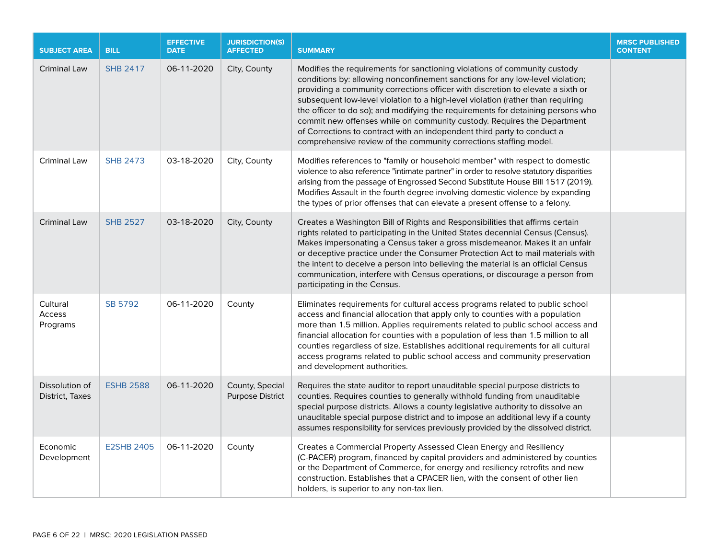| <b>SUBJECT AREA</b>               | <b>BILL</b>       | <b>EFFECTIVE</b><br><b>DATE</b> | <b>JURISDICTION(S)</b><br><b>AFFECTED</b>  | <b>SUMMARY</b>                                                                                                                                                                                                                                                                                                                                                                                                                                                                                                                                                                                                                                 | <b>MRSC PUBLISHED</b><br><b>CONTENT</b> |
|-----------------------------------|-------------------|---------------------------------|--------------------------------------------|------------------------------------------------------------------------------------------------------------------------------------------------------------------------------------------------------------------------------------------------------------------------------------------------------------------------------------------------------------------------------------------------------------------------------------------------------------------------------------------------------------------------------------------------------------------------------------------------------------------------------------------------|-----------------------------------------|
| Criminal Law                      | <b>SHB 2417</b>   | 06-11-2020                      | City, County                               | Modifies the requirements for sanctioning violations of community custody<br>conditions by: allowing nonconfinement sanctions for any low-level violation;<br>providing a community corrections officer with discretion to elevate a sixth or<br>subsequent low-level violation to a high-level violation (rather than requiring<br>the officer to do so); and modifying the requirements for detaining persons who<br>commit new offenses while on community custody. Requires the Department<br>of Corrections to contract with an independent third party to conduct a<br>comprehensive review of the community corrections staffing model. |                                         |
| Criminal Law                      | <b>SHB 2473</b>   | 03-18-2020                      | City, County                               | Modifies references to "family or household member" with respect to domestic<br>violence to also reference "intimate partner" in order to resolve statutory disparities<br>arising from the passage of Engrossed Second Substitute House Bill 1517 (2019).<br>Modifies Assault in the fourth degree involving domestic violence by expanding<br>the types of prior offenses that can elevate a present offense to a felony.                                                                                                                                                                                                                    |                                         |
| <b>Criminal Law</b>               | <b>SHB 2527</b>   | 03-18-2020                      | City, County                               | Creates a Washington Bill of Rights and Responsibilities that affirms certain<br>rights related to participating in the United States decennial Census (Census).<br>Makes impersonating a Census taker a gross misdemeanor. Makes it an unfair<br>or deceptive practice under the Consumer Protection Act to mail materials with<br>the intent to deceive a person into believing the material is an official Census<br>communication, interfere with Census operations, or discourage a person from<br>participating in the Census.                                                                                                           |                                         |
| Cultural<br>Access<br>Programs    | SB 5792           | 06-11-2020                      | County                                     | Eliminates requirements for cultural access programs related to public school<br>access and financial allocation that apply only to counties with a population<br>more than 1.5 million. Applies requirements related to public school access and<br>financial allocation for counties with a population of less than 1.5 million to all<br>counties regardless of size. Establishes additional requirements for all cultural<br>access programs related to public school access and community preservation<br>and development authorities.                                                                                                    |                                         |
| Dissolution of<br>District, Taxes | <b>ESHB 2588</b>  | 06-11-2020                      | County, Special<br><b>Purpose District</b> | Requires the state auditor to report unauditable special purpose districts to<br>counties. Requires counties to generally withhold funding from unauditable<br>special purpose districts. Allows a county legislative authority to dissolve an<br>unauditable special purpose district and to impose an additional levy if a county<br>assumes responsibility for services previously provided by the dissolved district.                                                                                                                                                                                                                      |                                         |
| Economic<br>Development           | <b>E2SHB 2405</b> | 06-11-2020                      | County                                     | Creates a Commercial Property Assessed Clean Energy and Resiliency<br>(C-PACER) program, financed by capital providers and administered by counties<br>or the Department of Commerce, for energy and resiliency retrofits and new<br>construction. Establishes that a CPACER lien, with the consent of other lien<br>holders, is superior to any non-tax lien.                                                                                                                                                                                                                                                                                 |                                         |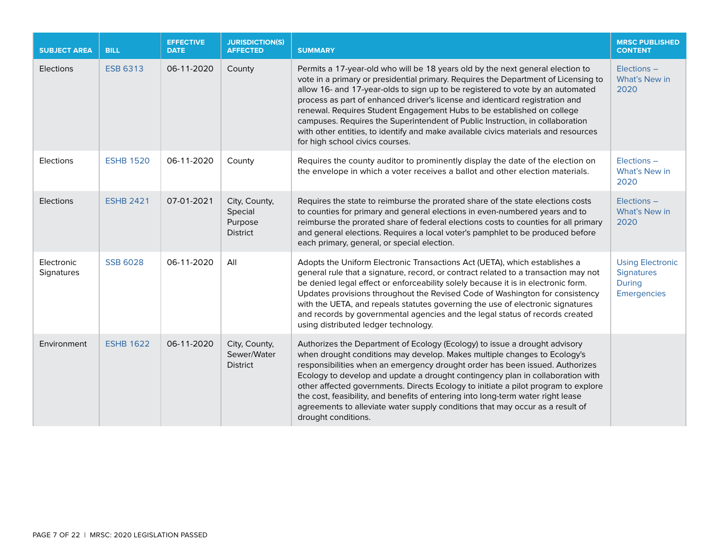| <b>SUBJECT AREA</b>      | <b>BILL</b>      | <b>EFFECTIVE</b><br><b>DATE</b> | <b>JURISDICTION(S)</b><br><b>AFFECTED</b>              | <b>SUMMARY</b>                                                                                                                                                                                                                                                                                                                                                                                                                                                                                                                                                                                                             | <b>MRSC PUBLISHED</b><br><b>CONTENT</b>                                             |
|--------------------------|------------------|---------------------------------|--------------------------------------------------------|----------------------------------------------------------------------------------------------------------------------------------------------------------------------------------------------------------------------------------------------------------------------------------------------------------------------------------------------------------------------------------------------------------------------------------------------------------------------------------------------------------------------------------------------------------------------------------------------------------------------------|-------------------------------------------------------------------------------------|
| Elections                | <b>ESB 6313</b>  | 06-11-2020                      | County                                                 | Permits a 17-year-old who will be 18 years old by the next general election to<br>vote in a primary or presidential primary. Requires the Department of Licensing to<br>allow 16- and 17-year-olds to sign up to be registered to vote by an automated<br>process as part of enhanced driver's license and identicard registration and<br>renewal. Requires Student Engagement Hubs to be established on college<br>campuses. Requires the Superintendent of Public Instruction, in collaboration<br>with other entities, to identify and make available civics materials and resources<br>for high school civics courses. | Elections -<br>What's New in<br>2020                                                |
| Elections                | <b>ESHB 1520</b> | 06-11-2020                      | County                                                 | Requires the county auditor to prominently display the date of the election on<br>the envelope in which a voter receives a ballot and other election materials.                                                                                                                                                                                                                                                                                                                                                                                                                                                            | Elections -<br>What's New in<br>2020                                                |
| Elections                | <b>ESHB 2421</b> | 07-01-2021                      | City, County,<br>Special<br>Purpose<br><b>District</b> | Requires the state to reimburse the prorated share of the state elections costs<br>to counties for primary and general elections in even-numbered years and to<br>reimburse the prorated share of federal elections costs to counties for all primary<br>and general elections. Requires a local voter's pamphlet to be produced before<br>each primary, general, or special election.                                                                                                                                                                                                                                     | Elections -<br>What's New in<br>2020                                                |
| Electronic<br>Signatures | <b>SSB 6028</b>  | 06-11-2020                      | All                                                    | Adopts the Uniform Electronic Transactions Act (UETA), which establishes a<br>general rule that a signature, record, or contract related to a transaction may not<br>be denied legal effect or enforceability solely because it is in electronic form.<br>Updates provisions throughout the Revised Code of Washington for consistency<br>with the UETA, and repeals statutes governing the use of electronic signatures<br>and records by governmental agencies and the legal status of records created<br>using distributed ledger technology.                                                                           | <b>Using Electronic</b><br><b>Signatures</b><br><b>During</b><br><b>Emergencies</b> |
| Environment              | <b>ESHB 1622</b> | 06-11-2020                      | City, County,<br>Sewer/Water<br><b>District</b>        | Authorizes the Department of Ecology (Ecology) to issue a drought advisory<br>when drought conditions may develop. Makes multiple changes to Ecology's<br>responsibilities when an emergency drought order has been issued. Authorizes<br>Ecology to develop and update a drought contingency plan in collaboration with<br>other affected governments. Directs Ecology to initiate a pilot program to explore<br>the cost, feasibility, and benefits of entering into long-term water right lease<br>agreements to alleviate water supply conditions that may occur as a result of<br>drought conditions.                 |                                                                                     |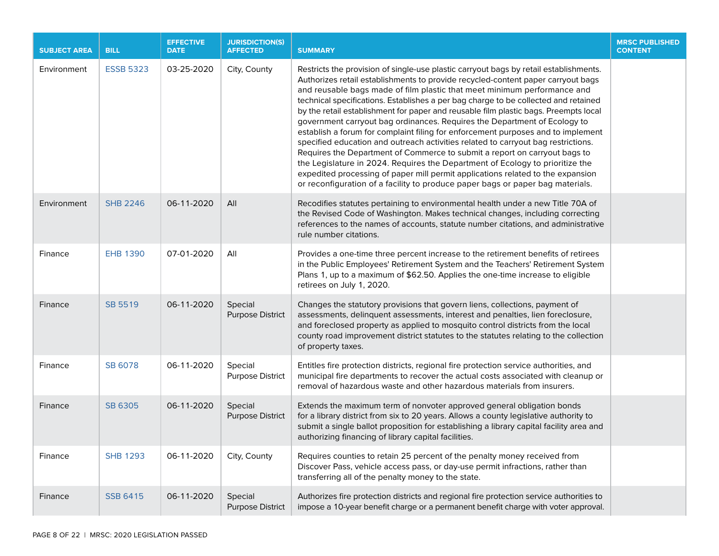| <b>SUBJECT AREA</b> | <b>BILL</b>      | <b>EFFECTIVE</b><br><b>DATE</b> | <b>JURISDICTION(S)</b><br><b>AFFECTED</b> | <b>SUMMARY</b>                                                                                                                                                                                                                                                                                                                                                                                                                                                                                                                                                                                                                                                                                                                                                                                                                                                                                                                                                                                                                 | <b>MRSC PUBLISHED</b><br><b>CONTENT</b> |
|---------------------|------------------|---------------------------------|-------------------------------------------|--------------------------------------------------------------------------------------------------------------------------------------------------------------------------------------------------------------------------------------------------------------------------------------------------------------------------------------------------------------------------------------------------------------------------------------------------------------------------------------------------------------------------------------------------------------------------------------------------------------------------------------------------------------------------------------------------------------------------------------------------------------------------------------------------------------------------------------------------------------------------------------------------------------------------------------------------------------------------------------------------------------------------------|-----------------------------------------|
| Environment         | <b>ESSB 5323</b> | 03-25-2020                      | City, County                              | Restricts the provision of single-use plastic carryout bags by retail establishments.<br>Authorizes retail establishments to provide recycled-content paper carryout bags<br>and reusable bags made of film plastic that meet minimum performance and<br>technical specifications. Establishes a per bag charge to be collected and retained<br>by the retail establishment for paper and reusable film plastic bags. Preempts local<br>government carryout bag ordinances. Requires the Department of Ecology to<br>establish a forum for complaint filing for enforcement purposes and to implement<br>specified education and outreach activities related to carryout bag restrictions.<br>Requires the Department of Commerce to submit a report on carryout bags to<br>the Legislature in 2024. Requires the Department of Ecology to prioritize the<br>expedited processing of paper mill permit applications related to the expansion<br>or reconfiguration of a facility to produce paper bags or paper bag materials. |                                         |
| Environment         | <b>SHB 2246</b>  | 06-11-2020                      | All                                       | Recodifies statutes pertaining to environmental health under a new Title 70A of<br>the Revised Code of Washington. Makes technical changes, including correcting<br>references to the names of accounts, statute number citations, and administrative<br>rule number citations.                                                                                                                                                                                                                                                                                                                                                                                                                                                                                                                                                                                                                                                                                                                                                |                                         |
| Finance             | <b>EHB 1390</b>  | 07-01-2020                      | All                                       | Provides a one-time three percent increase to the retirement benefits of retirees<br>in the Public Employees' Retirement System and the Teachers' Retirement System<br>Plans 1, up to a maximum of \$62.50. Applies the one-time increase to eligible<br>retirees on July 1, 2020.                                                                                                                                                                                                                                                                                                                                                                                                                                                                                                                                                                                                                                                                                                                                             |                                         |
| Finance             | SB 5519          | 06-11-2020                      | Special<br><b>Purpose District</b>        | Changes the statutory provisions that govern liens, collections, payment of<br>assessments, delinquent assessments, interest and penalties, lien foreclosure,<br>and foreclosed property as applied to mosquito control districts from the local<br>county road improvement district statutes to the statutes relating to the collection<br>of property taxes.                                                                                                                                                                                                                                                                                                                                                                                                                                                                                                                                                                                                                                                                 |                                         |
| Finance             | SB 6078          | 06-11-2020                      | Special<br><b>Purpose District</b>        | Entitles fire protection districts, regional fire protection service authorities, and<br>municipal fire departments to recover the actual costs associated with cleanup or<br>removal of hazardous waste and other hazardous materials from insurers.                                                                                                                                                                                                                                                                                                                                                                                                                                                                                                                                                                                                                                                                                                                                                                          |                                         |
| Finance             | SB 6305          | 06-11-2020                      | Special<br><b>Purpose District</b>        | Extends the maximum term of nonvoter approved general obligation bonds<br>for a library district from six to 20 years. Allows a county legislative authority to<br>submit a single ballot proposition for establishing a library capital facility area and<br>authorizing financing of library capital facilities.                                                                                                                                                                                                                                                                                                                                                                                                                                                                                                                                                                                                                                                                                                             |                                         |
| Finance             | <b>SHB 1293</b>  | 06-11-2020                      | City, County                              | Requires counties to retain 25 percent of the penalty money received from<br>Discover Pass, vehicle access pass, or day-use permit infractions, rather than<br>transferring all of the penalty money to the state.                                                                                                                                                                                                                                                                                                                                                                                                                                                                                                                                                                                                                                                                                                                                                                                                             |                                         |
| Finance             | <b>SSB 6415</b>  | 06-11-2020                      | Special<br><b>Purpose District</b>        | Authorizes fire protection districts and regional fire protection service authorities to<br>impose a 10-year benefit charge or a permanent benefit charge with voter approval.                                                                                                                                                                                                                                                                                                                                                                                                                                                                                                                                                                                                                                                                                                                                                                                                                                                 |                                         |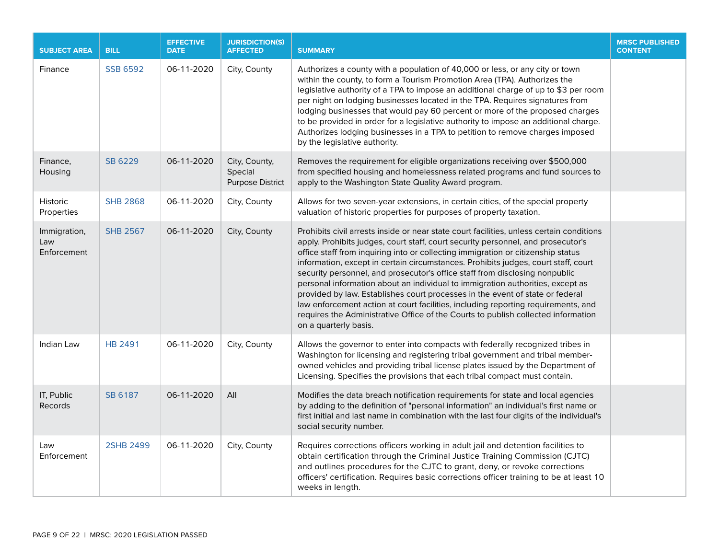| <b>SUBJECT AREA</b>                | <b>BILL</b>      | <b>EFFECTIVE</b><br><b>DATE</b> | <b>JURISDICTION(S)</b><br><b>AFFECTED</b>           | <b>SUMMARY</b>                                                                                                                                                                                                                                                                                                                                                                                                                                                                                                                                                                                                                                                                                                                                                                                              | <b>MRSC PUBLISHED</b><br><b>CONTENT</b> |
|------------------------------------|------------------|---------------------------------|-----------------------------------------------------|-------------------------------------------------------------------------------------------------------------------------------------------------------------------------------------------------------------------------------------------------------------------------------------------------------------------------------------------------------------------------------------------------------------------------------------------------------------------------------------------------------------------------------------------------------------------------------------------------------------------------------------------------------------------------------------------------------------------------------------------------------------------------------------------------------------|-----------------------------------------|
| Finance                            | <b>SSB 6592</b>  | 06-11-2020                      | City, County                                        | Authorizes a county with a population of 40,000 or less, or any city or town<br>within the county, to form a Tourism Promotion Area (TPA). Authorizes the<br>legislative authority of a TPA to impose an additional charge of up to \$3 per room<br>per night on lodging businesses located in the TPA. Requires signatures from<br>lodging businesses that would pay 60 percent or more of the proposed charges<br>to be provided in order for a legislative authority to impose an additional charge.<br>Authorizes lodging businesses in a TPA to petition to remove charges imposed<br>by the legislative authority.                                                                                                                                                                                    |                                         |
| Finance,<br>Housing                | SB 6229          | 06-11-2020                      | City, County,<br>Special<br><b>Purpose District</b> | Removes the requirement for eligible organizations receiving over \$500,000<br>from specified housing and homelessness related programs and fund sources to<br>apply to the Washington State Quality Award program.                                                                                                                                                                                                                                                                                                                                                                                                                                                                                                                                                                                         |                                         |
| <b>Historic</b><br>Properties      | <b>SHB 2868</b>  | 06-11-2020                      | City, County                                        | Allows for two seven-year extensions, in certain cities, of the special property<br>valuation of historic properties for purposes of property taxation.                                                                                                                                                                                                                                                                                                                                                                                                                                                                                                                                                                                                                                                     |                                         |
| Immigration,<br>Law<br>Enforcement | <b>SHB 2567</b>  | 06-11-2020                      | City, County                                        | Prohibits civil arrests inside or near state court facilities, unless certain conditions<br>apply. Prohibits judges, court staff, court security personnel, and prosecutor's<br>office staff from inquiring into or collecting immigration or citizenship status<br>information, except in certain circumstances. Prohibits judges, court staff, court<br>security personnel, and prosecutor's office staff from disclosing nonpublic<br>personal information about an individual to immigration authorities, except as<br>provided by law. Establishes court processes in the event of state or federal<br>law enforcement action at court facilities, including reporting requirements, and<br>requires the Administrative Office of the Courts to publish collected information<br>on a quarterly basis. |                                         |
| Indian Law                         | <b>HB 2491</b>   | 06-11-2020                      | City, County                                        | Allows the governor to enter into compacts with federally recognized tribes in<br>Washington for licensing and registering tribal government and tribal member-<br>owned vehicles and providing tribal license plates issued by the Department of<br>Licensing. Specifies the provisions that each tribal compact must contain.                                                                                                                                                                                                                                                                                                                                                                                                                                                                             |                                         |
| IT, Public<br>Records              | SB 6187          | 06-11-2020                      | All                                                 | Modifies the data breach notification requirements for state and local agencies<br>by adding to the definition of "personal information" an individual's first name or<br>first initial and last name in combination with the last four digits of the individual's<br>social security number.                                                                                                                                                                                                                                                                                                                                                                                                                                                                                                               |                                         |
| Law<br>Enforcement                 | <b>2SHB 2499</b> | 06-11-2020                      | City, County                                        | Requires corrections officers working in adult jail and detention facilities to<br>obtain certification through the Criminal Justice Training Commission (CJTC)<br>and outlines procedures for the CJTC to grant, deny, or revoke corrections<br>officers' certification. Requires basic corrections officer training to be at least 10<br>weeks in length.                                                                                                                                                                                                                                                                                                                                                                                                                                                 |                                         |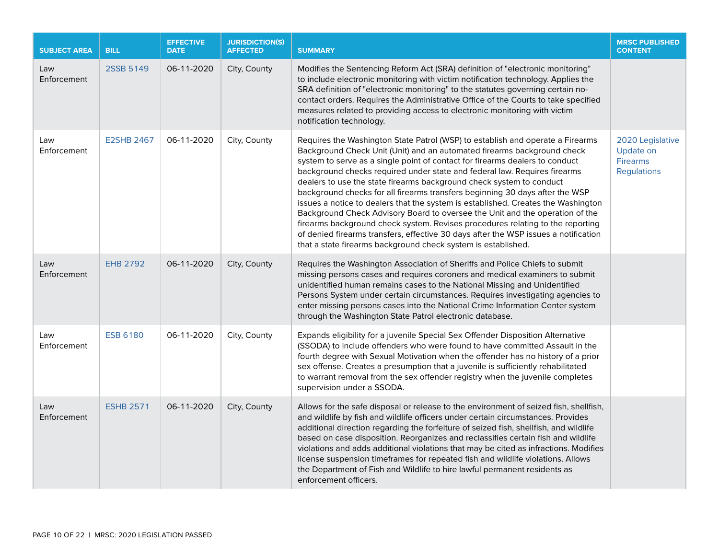| <b>SUBJECT AREA</b> | <b>BILL</b>       | <b>EFFECTIVE</b><br><b>DATE</b> | <b>JURISDICTION(S)</b><br><b>AFFECTED</b> | <b>SUMMARY</b>                                                                                                                                                                                                                                                                                                                                                                                                                                                                                                                                                                                                                                                                                                                                                                                                                                                                                | <b>MRSC PUBLISHED</b><br><b>CONTENT</b>                                |
|---------------------|-------------------|---------------------------------|-------------------------------------------|-----------------------------------------------------------------------------------------------------------------------------------------------------------------------------------------------------------------------------------------------------------------------------------------------------------------------------------------------------------------------------------------------------------------------------------------------------------------------------------------------------------------------------------------------------------------------------------------------------------------------------------------------------------------------------------------------------------------------------------------------------------------------------------------------------------------------------------------------------------------------------------------------|------------------------------------------------------------------------|
| Law<br>Enforcement  | 2SSB 5149         | 06-11-2020                      | City, County                              | Modifies the Sentencing Reform Act (SRA) definition of "electronic monitoring"<br>to include electronic monitoring with victim notification technology. Applies the<br>SRA definition of "electronic monitoring" to the statutes governing certain no-<br>contact orders. Requires the Administrative Office of the Courts to take specified<br>measures related to providing access to electronic monitoring with victim<br>notification technology.                                                                                                                                                                                                                                                                                                                                                                                                                                         |                                                                        |
| Law<br>Enforcement  | <b>E2SHB 2467</b> | 06-11-2020                      | City, County                              | Requires the Washington State Patrol (WSP) to establish and operate a Firearms<br>Background Check Unit (Unit) and an automated firearms background check<br>system to serve as a single point of contact for firearms dealers to conduct<br>background checks required under state and federal law. Requires firearms<br>dealers to use the state firearms background check system to conduct<br>background checks for all firearms transfers beginning 30 days after the WSP<br>issues a notice to dealers that the system is established. Creates the Washington<br>Background Check Advisory Board to oversee the Unit and the operation of the<br>firearms background check system. Revises procedures relating to the reporting<br>of denied firearms transfers, effective 30 days after the WSP issues a notification<br>that a state firearms background check system is established. | 2020 Legislative<br>Update on<br><b>Firearms</b><br><b>Regulations</b> |
| Law<br>Enforcement  | <b>EHB 2792</b>   | 06-11-2020                      | City, County                              | Requires the Washington Association of Sheriffs and Police Chiefs to submit<br>missing persons cases and requires coroners and medical examiners to submit<br>unidentified human remains cases to the National Missing and Unidentified<br>Persons System under certain circumstances. Requires investigating agencies to<br>enter missing persons cases into the National Crime Information Center system<br>through the Washington State Patrol electronic database.                                                                                                                                                                                                                                                                                                                                                                                                                        |                                                                        |
| Law<br>Enforcement  | <b>ESB 6180</b>   | 06-11-2020                      | City, County                              | Expands eligibility for a juvenile Special Sex Offender Disposition Alternative<br>(SSODA) to include offenders who were found to have committed Assault in the<br>fourth degree with Sexual Motivation when the offender has no history of a prior<br>sex offense. Creates a presumption that a juvenile is sufficiently rehabilitated<br>to warrant removal from the sex offender registry when the juvenile completes<br>supervision under a SSODA.                                                                                                                                                                                                                                                                                                                                                                                                                                        |                                                                        |
| Law<br>Enforcement  | <b>ESHB 2571</b>  | 06-11-2020                      | City, County                              | Allows for the safe disposal or release to the environment of seized fish, shellfish,<br>and wildlife by fish and wildlife officers under certain circumstances. Provides<br>additional direction regarding the forfeiture of seized fish, shellfish, and wildlife<br>based on case disposition. Reorganizes and reclassifies certain fish and wildlife<br>violations and adds additional violations that may be cited as infractions. Modifies<br>license suspension timeframes for repeated fish and wildlife violations. Allows<br>the Department of Fish and Wildlife to hire lawful permanent residents as<br>enforcement officers.                                                                                                                                                                                                                                                      |                                                                        |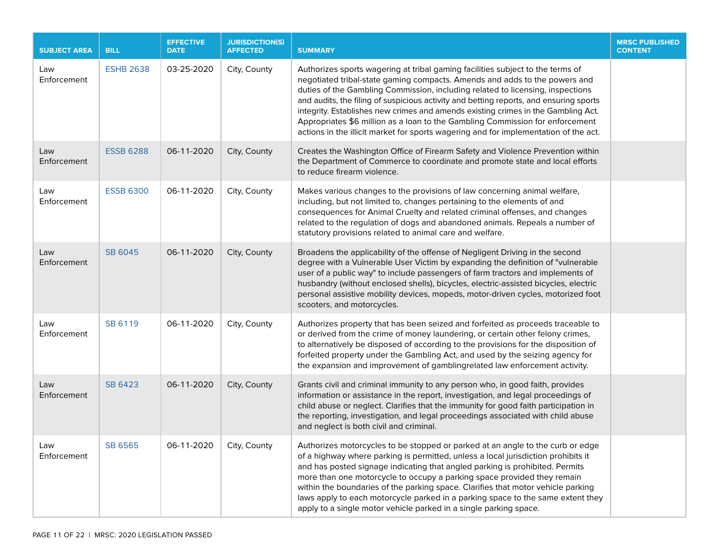| <b>SUBJECT AREA</b> | <b>BILL</b>      | <b>EFFECTIVE</b><br><b>DATE</b> | <b>JURISDICTION(S)</b><br><b>AFFECTED</b> | <b>SUMMARY</b>                                                                                                                                                                                                                                                                                                                                                                                                                                                                                                                                                                                         | <b>MRSC PUBLISHED</b><br><b>CONTENT</b> |
|---------------------|------------------|---------------------------------|-------------------------------------------|--------------------------------------------------------------------------------------------------------------------------------------------------------------------------------------------------------------------------------------------------------------------------------------------------------------------------------------------------------------------------------------------------------------------------------------------------------------------------------------------------------------------------------------------------------------------------------------------------------|-----------------------------------------|
| Law<br>Enforcement  | <b>ESHB 2638</b> | 03-25-2020                      | City, County                              | Authorizes sports wagering at tribal gaming facilities subject to the terms of<br>negotiated tribal-state gaming compacts. Amends and adds to the powers and<br>duties of the Gambling Commission, including related to licensing, inspections<br>and audits, the filing of suspicious activity and betting reports, and ensuring sports<br>integrity. Establishes new crimes and amends existing crimes in the Gambling Act.<br>Appropriates \$6 million as a loan to the Gambling Commission for enforcement<br>actions in the illicit market for sports wagering and for implementation of the act. |                                         |
| Law<br>Enforcement  | <b>ESSB 6288</b> | 06-11-2020                      | City, County                              | Creates the Washington Office of Firearm Safety and Violence Prevention within<br>the Department of Commerce to coordinate and promote state and local efforts<br>to reduce firearm violence.                                                                                                                                                                                                                                                                                                                                                                                                          |                                         |
| Law<br>Enforcement  | <b>ESSB 6300</b> | 06-11-2020                      | City, County                              | Makes various changes to the provisions of law concerning animal welfare,<br>including, but not limited to, changes pertaining to the elements of and<br>consequences for Animal Cruelty and related criminal offenses, and changes<br>related to the regulation of dogs and abandoned animals. Repeals a number of<br>statutory provisions related to animal care and welfare.                                                                                                                                                                                                                        |                                         |
| Law<br>Enforcement  | SB 6045          | 06-11-2020                      | City, County                              | Broadens the applicability of the offense of Negligent Driving in the second<br>degree with a Vulnerable User Victim by expanding the definition of "vulnerable<br>user of a public way" to include passengers of farm tractors and implements of<br>husbandry (without enclosed shells), bicycles, electric-assisted bicycles, electric<br>personal assistive mobility devices, mopeds, motor-driven cycles, motorized foot<br>scooters, and motorcycles.                                                                                                                                             |                                         |
| Law<br>Enforcement  | SB 6119          | 06-11-2020                      | City, County                              | Authorizes property that has been seized and forfeited as proceeds traceable to<br>or derived from the crime of money laundering, or certain other felony crimes,<br>to alternatively be disposed of according to the provisions for the disposition of<br>forfeited property under the Gambling Act, and used by the seizing agency for<br>the expansion and improvement of gamblingrelated law enforcement activity.                                                                                                                                                                                 |                                         |
| Law<br>Enforcement  | SB 6423          | 06-11-2020                      | City, County                              | Grants civil and criminal immunity to any person who, in good faith, provides<br>information or assistance in the report, investigation, and legal proceedings of<br>child abuse or neglect. Clarifies that the immunity for good faith participation in<br>the reporting, investigation, and legal proceedings associated with child abuse<br>and neglect is both civil and criminal.                                                                                                                                                                                                                 |                                         |
| Law<br>Enforcement  | SB 6565          | 06-11-2020                      | City, County                              | Authorizes motorcycles to be stopped or parked at an angle to the curb or edge<br>of a highway where parking is permitted, unless a local jurisdiction prohibits it<br>and has posted signage indicating that angled parking is prohibited. Permits<br>more than one motorcycle to occupy a parking space provided they remain<br>within the boundaries of the parking space. Clarifies that motor vehicle parking<br>laws apply to each motorcycle parked in a parking space to the same extent they<br>apply to a single motor vehicle parked in a single parking space.                             |                                         |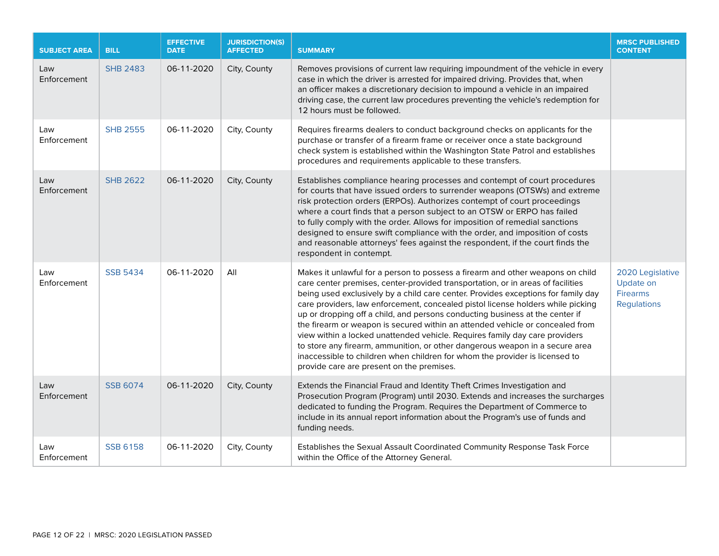| <b>SUBJECT AREA</b> | <b>BILL</b>     | <b>EFFECTIVE</b><br><b>DATE</b> | <b>JURISDICTION(S)</b><br><b>AFFECTED</b> | <b>SUMMARY</b>                                                                                                                                                                                                                                                                                                                                                                                                                                                                                                                                                                                                                                                                                                                                                                                        | <b>MRSC PUBLISHED</b><br><b>CONTENT</b>                                |
|---------------------|-----------------|---------------------------------|-------------------------------------------|-------------------------------------------------------------------------------------------------------------------------------------------------------------------------------------------------------------------------------------------------------------------------------------------------------------------------------------------------------------------------------------------------------------------------------------------------------------------------------------------------------------------------------------------------------------------------------------------------------------------------------------------------------------------------------------------------------------------------------------------------------------------------------------------------------|------------------------------------------------------------------------|
| Law<br>Enforcement  | <b>SHB 2483</b> | 06-11-2020                      | City, County                              | Removes provisions of current law requiring impoundment of the vehicle in every<br>case in which the driver is arrested for impaired driving. Provides that, when<br>an officer makes a discretionary decision to impound a vehicle in an impaired<br>driving case, the current law procedures preventing the vehicle's redemption for<br>12 hours must be followed.                                                                                                                                                                                                                                                                                                                                                                                                                                  |                                                                        |
| Law<br>Enforcement  | <b>SHB 2555</b> | 06-11-2020                      | City, County                              | Requires firearms dealers to conduct background checks on applicants for the<br>purchase or transfer of a firearm frame or receiver once a state background<br>check system is established within the Washington State Patrol and establishes<br>procedures and requirements applicable to these transfers.                                                                                                                                                                                                                                                                                                                                                                                                                                                                                           |                                                                        |
| Law<br>Enforcement  | <b>SHB 2622</b> | 06-11-2020                      | City, County                              | Establishes compliance hearing processes and contempt of court procedures<br>for courts that have issued orders to surrender weapons (OTSWs) and extreme<br>risk protection orders (ERPOs). Authorizes contempt of court proceedings<br>where a court finds that a person subject to an OTSW or ERPO has failed<br>to fully comply with the order. Allows for imposition of remedial sanctions<br>designed to ensure swift compliance with the order, and imposition of costs<br>and reasonable attorneys' fees against the respondent, if the court finds the<br>respondent in contempt.                                                                                                                                                                                                             |                                                                        |
| Law<br>Enforcement  | <b>SSB 5434</b> | 06-11-2020                      | All                                       | Makes it unlawful for a person to possess a firearm and other weapons on child<br>care center premises, center-provided transportation, or in areas of facilities<br>being used exclusively by a child care center. Provides exceptions for family day<br>care providers, law enforcement, concealed pistol license holders while picking<br>up or dropping off a child, and persons conducting business at the center if<br>the firearm or weapon is secured within an attended vehicle or concealed from<br>view within a locked unattended vehicle. Requires family day care providers<br>to store any firearm, ammunition, or other dangerous weapon in a secure area<br>inaccessible to children when children for whom the provider is licensed to<br>provide care are present on the premises. | 2020 Legislative<br>Update on<br><b>Firearms</b><br><b>Regulations</b> |
| Law<br>Enforcement  | <b>SSB 6074</b> | 06-11-2020                      | City, County                              | Extends the Financial Fraud and Identity Theft Crimes Investigation and<br>Prosecution Program (Program) until 2030. Extends and increases the surcharges<br>dedicated to funding the Program. Requires the Department of Commerce to<br>include in its annual report information about the Program's use of funds and<br>funding needs.                                                                                                                                                                                                                                                                                                                                                                                                                                                              |                                                                        |
| Law<br>Enforcement  | <b>SSB 6158</b> | 06-11-2020                      | City, County                              | Establishes the Sexual Assault Coordinated Community Response Task Force<br>within the Office of the Attorney General.                                                                                                                                                                                                                                                                                                                                                                                                                                                                                                                                                                                                                                                                                |                                                                        |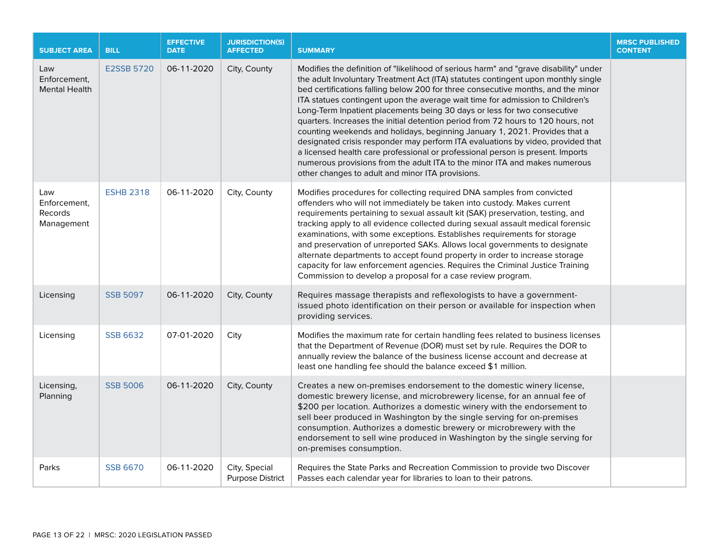| <b>SUBJECT AREA</b>                                 | <b>BILL</b>       | <b>EFFECTIVE</b><br><b>DATE</b> | <b>JURISDICTION(S)</b><br><b>AFFECTED</b> | <b>SUMMARY</b>                                                                                                                                                                                                                                                                                                                                                                                                                                                                                                                                                                                                                                                                                                                                                                                                                                                                                      | <b>MRSC PUBLISHED</b><br><b>CONTENT</b> |
|-----------------------------------------------------|-------------------|---------------------------------|-------------------------------------------|-----------------------------------------------------------------------------------------------------------------------------------------------------------------------------------------------------------------------------------------------------------------------------------------------------------------------------------------------------------------------------------------------------------------------------------------------------------------------------------------------------------------------------------------------------------------------------------------------------------------------------------------------------------------------------------------------------------------------------------------------------------------------------------------------------------------------------------------------------------------------------------------------------|-----------------------------------------|
| Law<br>Enforcement,<br><b>Mental Health</b>         | <b>E2SSB 5720</b> | 06-11-2020                      | City, County                              | Modifies the definition of "likelihood of serious harm" and "grave disability" under<br>the adult Involuntary Treatment Act (ITA) statutes contingent upon monthly single<br>bed certifications falling below 200 for three consecutive months, and the minor<br>ITA statues contingent upon the average wait time for admission to Children's<br>Long-Term Inpatient placements being 30 days or less for two consecutive<br>quarters. Increases the initial detention period from 72 hours to 120 hours, not<br>counting weekends and holidays, beginning January 1, 2021. Provides that a<br>designated crisis responder may perform ITA evaluations by video, provided that<br>a licensed health care professional or professional person is present. Imports<br>numerous provisions from the adult ITA to the minor ITA and makes numerous<br>other changes to adult and minor ITA provisions. |                                         |
| Law<br>Enforcement,<br><b>Records</b><br>Management | <b>ESHB 2318</b>  | 06-11-2020                      | City, County                              | Modifies procedures for collecting required DNA samples from convicted<br>offenders who will not immediately be taken into custody. Makes current<br>requirements pertaining to sexual assault kit (SAK) preservation, testing, and<br>tracking apply to all evidence collected during sexual assault medical forensic<br>examinations, with some exceptions. Establishes requirements for storage<br>and preservation of unreported SAKs. Allows local governments to designate<br>alternate departments to accept found property in order to increase storage<br>capacity for law enforcement agencies. Requires the Criminal Justice Training<br>Commission to develop a proposal for a case review program.                                                                                                                                                                                     |                                         |
| Licensing                                           | <b>SSB 5097</b>   | 06-11-2020                      | City, County                              | Requires massage therapists and reflexologists to have a government-<br>issued photo identification on their person or available for inspection when<br>providing services.                                                                                                                                                                                                                                                                                                                                                                                                                                                                                                                                                                                                                                                                                                                         |                                         |
| Licensing                                           | <b>SSB 6632</b>   | 07-01-2020                      | City                                      | Modifies the maximum rate for certain handling fees related to business licenses<br>that the Department of Revenue (DOR) must set by rule. Requires the DOR to<br>annually review the balance of the business license account and decrease at<br>least one handling fee should the balance exceed \$1 million.                                                                                                                                                                                                                                                                                                                                                                                                                                                                                                                                                                                      |                                         |
| Licensing,<br>Planning                              | <b>SSB 5006</b>   | 06-11-2020                      | City, County                              | Creates a new on-premises endorsement to the domestic winery license,<br>domestic brewery license, and microbrewery license, for an annual fee of<br>\$200 per location. Authorizes a domestic winery with the endorsement to<br>sell beer produced in Washington by the single serving for on-premises<br>consumption. Authorizes a domestic brewery or microbrewery with the<br>endorsement to sell wine produced in Washington by the single serving for<br>on-premises consumption.                                                                                                                                                                                                                                                                                                                                                                                                             |                                         |
| Parks                                               | <b>SSB 6670</b>   | 06-11-2020                      | City, Special<br><b>Purpose District</b>  | Requires the State Parks and Recreation Commission to provide two Discover<br>Passes each calendar year for libraries to loan to their patrons.                                                                                                                                                                                                                                                                                                                                                                                                                                                                                                                                                                                                                                                                                                                                                     |                                         |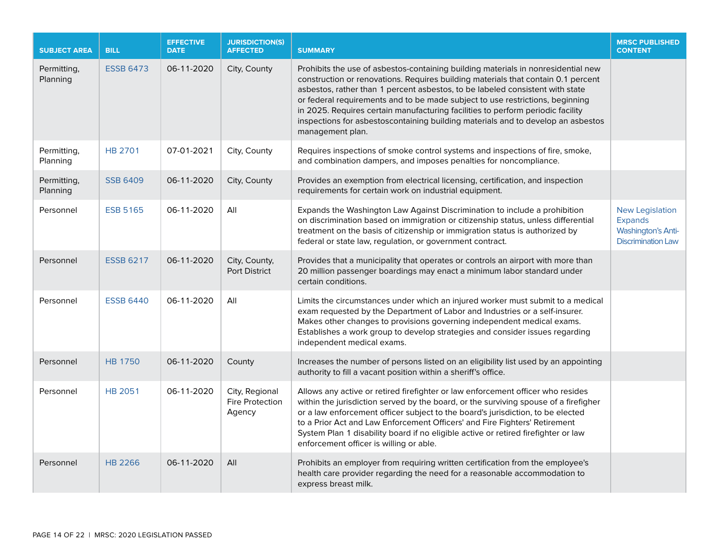| <b>SUBJECT AREA</b>     | <b>BILL</b>      | <b>EFFECTIVE</b><br><b>DATE</b> | <b>JURISDICTION(S)</b><br><b>AFFECTED</b>          | <b>SUMMARY</b>                                                                                                                                                                                                                                                                                                                                                                                                                                                                                                                      | <b>MRSC PUBLISHED</b><br><b>CONTENT</b>                                                            |
|-------------------------|------------------|---------------------------------|----------------------------------------------------|-------------------------------------------------------------------------------------------------------------------------------------------------------------------------------------------------------------------------------------------------------------------------------------------------------------------------------------------------------------------------------------------------------------------------------------------------------------------------------------------------------------------------------------|----------------------------------------------------------------------------------------------------|
| Permitting,<br>Planning | <b>ESSB 6473</b> | 06-11-2020                      | City, County                                       | Prohibits the use of asbestos-containing building materials in nonresidential new<br>construction or renovations. Requires building materials that contain 0.1 percent<br>asbestos, rather than 1 percent asbestos, to be labeled consistent with state<br>or federal requirements and to be made subject to use restrictions, beginning<br>in 2025. Requires certain manufacturing facilities to perform periodic facility<br>inspections for asbestoscontaining building materials and to develop an asbestos<br>management plan. |                                                                                                    |
| Permitting,<br>Planning | <b>HB 2701</b>   | 07-01-2021                      | City, County                                       | Requires inspections of smoke control systems and inspections of fire, smoke,<br>and combination dampers, and imposes penalties for noncompliance.                                                                                                                                                                                                                                                                                                                                                                                  |                                                                                                    |
| Permitting,<br>Planning | <b>SSB 6409</b>  | 06-11-2020                      | City, County                                       | Provides an exemption from electrical licensing, certification, and inspection<br>requirements for certain work on industrial equipment.                                                                                                                                                                                                                                                                                                                                                                                            |                                                                                                    |
| Personnel               | <b>ESB 5165</b>  | 06-11-2020                      | All                                                | Expands the Washington Law Against Discrimination to include a prohibition<br>on discrimination based on immigration or citizenship status, unless differential<br>treatment on the basis of citizenship or immigration status is authorized by<br>federal or state law, regulation, or government contract.                                                                                                                                                                                                                        | <b>New Legislation</b><br><b>Expands</b><br><b>Washington's Anti-</b><br><b>Discrimination Law</b> |
| Personnel               | <b>ESSB 6217</b> | 06-11-2020                      | City, County,<br>Port District                     | Provides that a municipality that operates or controls an airport with more than<br>20 million passenger boardings may enact a minimum labor standard under<br>certain conditions.                                                                                                                                                                                                                                                                                                                                                  |                                                                                                    |
| Personnel               | <b>ESSB 6440</b> | 06-11-2020                      | All                                                | Limits the circumstances under which an injured worker must submit to a medical<br>exam requested by the Department of Labor and Industries or a self-insurer.<br>Makes other changes to provisions governing independent medical exams.<br>Establishes a work group to develop strategies and consider issues regarding<br>independent medical exams.                                                                                                                                                                              |                                                                                                    |
| Personnel               | <b>HB 1750</b>   | 06-11-2020                      | County                                             | Increases the number of persons listed on an eligibility list used by an appointing<br>authority to fill a vacant position within a sheriff's office.                                                                                                                                                                                                                                                                                                                                                                               |                                                                                                    |
| Personnel               | <b>HB 2051</b>   | 06-11-2020                      | City, Regional<br><b>Fire Protection</b><br>Agency | Allows any active or retired firefighter or law enforcement officer who resides<br>within the jurisdiction served by the board, or the surviving spouse of a firefigher<br>or a law enforcement officer subject to the board's jurisdiction, to be elected<br>to a Prior Act and Law Enforcement Officers' and Fire Fighters' Retirement<br>System Plan 1 disability board if no eligible active or retired firefighter or law<br>enforcement officer is willing or able.                                                           |                                                                                                    |
| Personnel               | <b>HB 2266</b>   | 06-11-2020                      | All                                                | Prohibits an employer from requiring written certification from the employee's<br>health care provider regarding the need for a reasonable accommodation to<br>express breast milk.                                                                                                                                                                                                                                                                                                                                                 |                                                                                                    |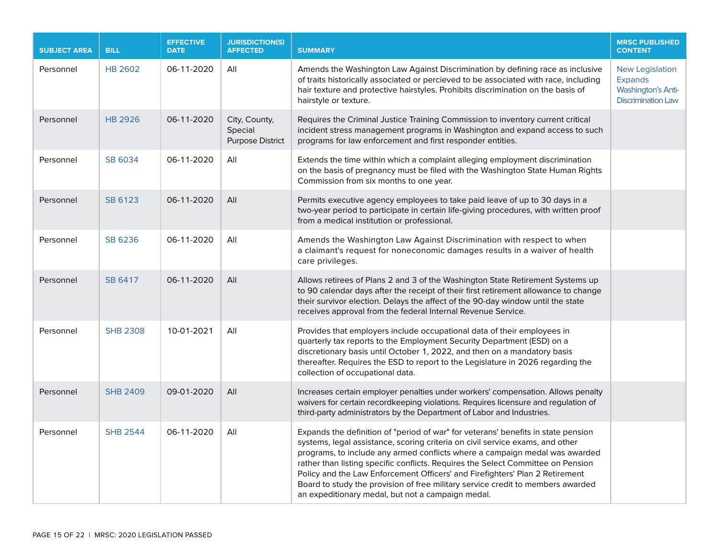| <b>SUBJECT AREA</b> | <b>BILL</b>     | <b>EFFECTIVE</b><br><b>DATE</b> | <b>JURISDICTION(S)</b><br><b>AFFECTED</b>           | <b>SUMMARY</b>                                                                                                                                                                                                                                                                                                                                                                                                                                                                                                                                                | <b>MRSC PUBLISHED</b><br><b>CONTENT</b>                                                            |
|---------------------|-----------------|---------------------------------|-----------------------------------------------------|---------------------------------------------------------------------------------------------------------------------------------------------------------------------------------------------------------------------------------------------------------------------------------------------------------------------------------------------------------------------------------------------------------------------------------------------------------------------------------------------------------------------------------------------------------------|----------------------------------------------------------------------------------------------------|
| Personnel           | <b>HB 2602</b>  | 06-11-2020                      | All                                                 | Amends the Washington Law Against Discrimination by defining race as inclusive<br>of traits historically associated or percieved to be associated with race, including<br>hair texture and protective hairstyles. Prohibits discrimination on the basis of<br>hairstyle or texture.                                                                                                                                                                                                                                                                           | <b>New Legislation</b><br><b>Expands</b><br><b>Washington's Anti-</b><br><b>Discrimination Law</b> |
| Personnel           | <b>HB 2926</b>  | 06-11-2020                      | City, County,<br>Special<br><b>Purpose District</b> | Requires the Criminal Justice Training Commission to inventory current critical<br>incident stress management programs in Washington and expand access to such<br>programs for law enforcement and first responder entities.                                                                                                                                                                                                                                                                                                                                  |                                                                                                    |
| Personnel           | SB 6034         | 06-11-2020                      | All                                                 | Extends the time within which a complaint alleging employment discrimination<br>on the basis of pregnancy must be filed with the Washington State Human Rights<br>Commission from six months to one year.                                                                                                                                                                                                                                                                                                                                                     |                                                                                                    |
| Personnel           | SB 6123         | 06-11-2020                      | All                                                 | Permits executive agency employees to take paid leave of up to 30 days in a<br>two-year period to participate in certain life-giving procedures, with written proof<br>from a medical institution or professional.                                                                                                                                                                                                                                                                                                                                            |                                                                                                    |
| Personnel           | SB 6236         | 06-11-2020                      | All                                                 | Amends the Washington Law Against Discrimination with respect to when<br>a claimant's request for noneconomic damages results in a waiver of health<br>care privileges.                                                                                                                                                                                                                                                                                                                                                                                       |                                                                                                    |
| Personnel           | SB 6417         | 06-11-2020                      | All                                                 | Allows retirees of Plans 2 and 3 of the Washington State Retirement Systems up<br>to 90 calendar days after the receipt of their first retirement allowance to change<br>their survivor election. Delays the affect of the 90-day window until the state<br>receives approval from the federal Internal Revenue Service.                                                                                                                                                                                                                                      |                                                                                                    |
| Personnel           | <b>SHB 2308</b> | 10-01-2021                      | All                                                 | Provides that employers include occupational data of their employees in<br>quarterly tax reports to the Employment Security Department (ESD) on a<br>discretionary basis until October 1, 2022, and then on a mandatory basis<br>thereafter. Requires the ESD to report to the Legislature in 2026 regarding the<br>collection of occupational data.                                                                                                                                                                                                          |                                                                                                    |
| Personnel           | <b>SHB 2409</b> | 09-01-2020                      | All                                                 | Increases certain employer penalties under workers' compensation. Allows penalty<br>waivers for certain recordkeeping violations. Requires licensure and regulation of<br>third-party administrators by the Department of Labor and Industries.                                                                                                                                                                                                                                                                                                               |                                                                                                    |
| Personnel           | <b>SHB 2544</b> | 06-11-2020                      | All                                                 | Expands the definition of "period of war" for veterans' benefits in state pension<br>systems, legal assistance, scoring criteria on civil service exams, and other<br>programs, to include any armed conflicts where a campaign medal was awarded<br>rather than listing specific conflicts. Requires the Select Committee on Pension<br>Policy and the Law Enforcement Officers' and Firefighters' Plan 2 Retirement<br>Board to study the provision of free military service credit to members awarded<br>an expeditionary medal, but not a campaign medal. |                                                                                                    |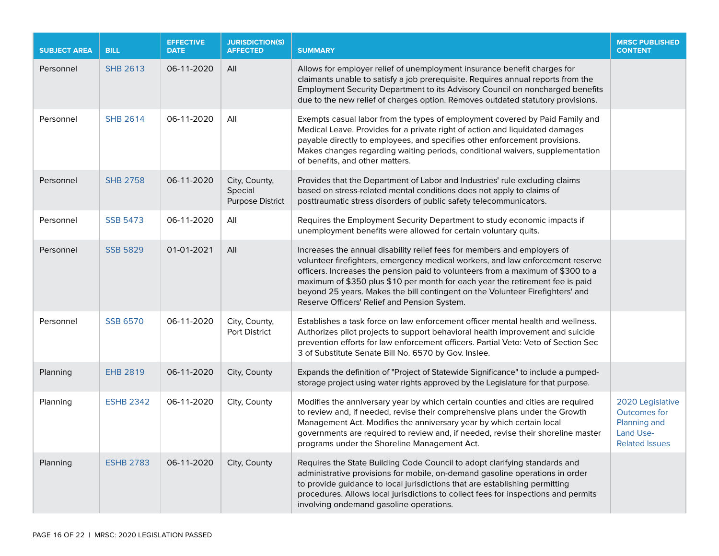| <b>SUBJECT AREA</b> | <b>BILL</b>      | <b>EFFECTIVE</b><br><b>DATE</b> | <b>JURISDICTION(S)</b><br><b>AFFECTED</b>           | <b>SUMMARY</b>                                                                                                                                                                                                                                                                                                                                                                                                                                                  | <b>MRSC PUBLISHED</b><br><b>CONTENT</b>                                                |
|---------------------|------------------|---------------------------------|-----------------------------------------------------|-----------------------------------------------------------------------------------------------------------------------------------------------------------------------------------------------------------------------------------------------------------------------------------------------------------------------------------------------------------------------------------------------------------------------------------------------------------------|----------------------------------------------------------------------------------------|
| Personnel           | <b>SHB 2613</b>  | 06-11-2020                      | All                                                 | Allows for employer relief of unemployment insurance benefit charges for<br>claimants unable to satisfy a job prerequisite. Requires annual reports from the<br>Employment Security Department to its Advisory Council on noncharged benefits<br>due to the new relief of charges option. Removes outdated statutory provisions.                                                                                                                                |                                                                                        |
| Personnel           | <b>SHB 2614</b>  | 06-11-2020                      | All                                                 | Exempts casual labor from the types of employment covered by Paid Family and<br>Medical Leave. Provides for a private right of action and liquidated damages<br>payable directly to employees, and specifies other enforcement provisions.<br>Makes changes regarding waiting periods, conditional waivers, supplementation<br>of benefits, and other matters.                                                                                                  |                                                                                        |
| Personnel           | <b>SHB 2758</b>  | 06-11-2020                      | City, County,<br>Special<br><b>Purpose District</b> | Provides that the Department of Labor and Industries' rule excluding claims<br>based on stress-related mental conditions does not apply to claims of<br>posttraumatic stress disorders of public safety telecommunicators.                                                                                                                                                                                                                                      |                                                                                        |
| Personnel           | <b>SSB 5473</b>  | 06-11-2020                      | All                                                 | Requires the Employment Security Department to study economic impacts if<br>unemployment benefits were allowed for certain voluntary quits.                                                                                                                                                                                                                                                                                                                     |                                                                                        |
| Personnel           | <b>SSB 5829</b>  | 01-01-2021                      | All                                                 | Increases the annual disability relief fees for members and employers of<br>volunteer firefighters, emergency medical workers, and law enforcement reserve<br>officers. Increases the pension paid to volunteers from a maximum of \$300 to a<br>maximum of \$350 plus \$10 per month for each year the retirement fee is paid<br>beyond 25 years. Makes the bill contingent on the Volunteer Firefighters' and<br>Reserve Officers' Relief and Pension System. |                                                                                        |
| Personnel           | <b>SSB 6570</b>  | 06-11-2020                      | City, County,<br>Port District                      | Establishes a task force on law enforcement officer mental health and wellness.<br>Authorizes pilot projects to support behavioral health improvement and suicide<br>prevention efforts for law enforcement officers. Partial Veto: Veto of Section Sec<br>3 of Substitute Senate Bill No. 6570 by Gov. Inslee.                                                                                                                                                 |                                                                                        |
| Planning            | <b>EHB 2819</b>  | 06-11-2020                      | City, County                                        | Expands the definition of "Project of Statewide Significance" to include a pumped-<br>storage project using water rights approved by the Legislature for that purpose.                                                                                                                                                                                                                                                                                          |                                                                                        |
| Planning            | <b>ESHB 2342</b> | 06-11-2020                      | City, County                                        | Modifies the anniversary year by which certain counties and cities are required<br>to review and, if needed, revise their comprehensive plans under the Growth<br>Management Act. Modifies the anniversary year by which certain local<br>governments are required to review and, if needed, revise their shoreline master<br>programs under the Shoreline Management Act.                                                                                      | 2020 Legislative<br>Outcomes for<br>Planning and<br>Land Use-<br><b>Related Issues</b> |
| Planning            | <b>ESHB 2783</b> | 06-11-2020                      | City, County                                        | Requires the State Building Code Council to adopt clarifying standards and<br>administrative provisions for mobile, on-demand gasoline operations in order<br>to provide guidance to local jurisdictions that are establishing permitting<br>procedures. Allows local jurisdictions to collect fees for inspections and permits<br>involving ondemand gasoline operations.                                                                                      |                                                                                        |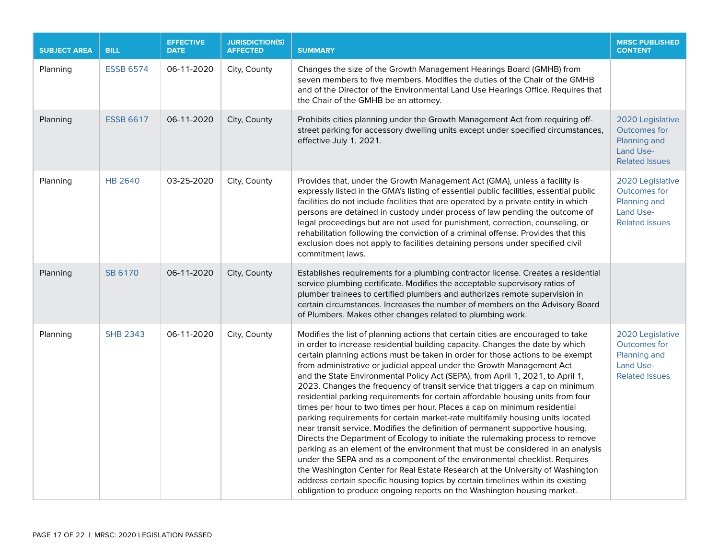| <b>SUBJECT AREA</b> | <b>BILL</b>      | <b>EFFECTIVE</b><br><b>DATE</b> | <b>JURISDICTION(S)</b><br><b>AFFECTED</b> | <b>SUMMARY</b>                                                                                                                                                                                                                                                                                                                                                                                                                                                                                                                                                                                                                                                                                                                                                                                                                                                                                                                                                                                                                                                                                                                                                                                                                                                                                                                           | <b>MRSC PUBLISHED</b><br><b>CONTENT</b>                                                              |
|---------------------|------------------|---------------------------------|-------------------------------------------|------------------------------------------------------------------------------------------------------------------------------------------------------------------------------------------------------------------------------------------------------------------------------------------------------------------------------------------------------------------------------------------------------------------------------------------------------------------------------------------------------------------------------------------------------------------------------------------------------------------------------------------------------------------------------------------------------------------------------------------------------------------------------------------------------------------------------------------------------------------------------------------------------------------------------------------------------------------------------------------------------------------------------------------------------------------------------------------------------------------------------------------------------------------------------------------------------------------------------------------------------------------------------------------------------------------------------------------|------------------------------------------------------------------------------------------------------|
| Planning            | <b>ESSB 6574</b> | 06-11-2020                      | City, County                              | Changes the size of the Growth Management Hearings Board (GMHB) from<br>seven members to five members. Modifies the duties of the Chair of the GMHB<br>and of the Director of the Environmental Land Use Hearings Office. Requires that<br>the Chair of the GMHB be an attorney.                                                                                                                                                                                                                                                                                                                                                                                                                                                                                                                                                                                                                                                                                                                                                                                                                                                                                                                                                                                                                                                         |                                                                                                      |
| Planning            | <b>ESSB 6617</b> | 06-11-2020                      | City, County                              | Prohibits cities planning under the Growth Management Act from requiring off-<br>street parking for accessory dwelling units except under specified circumstances,<br>effective July 1, 2021.                                                                                                                                                                                                                                                                                                                                                                                                                                                                                                                                                                                                                                                                                                                                                                                                                                                                                                                                                                                                                                                                                                                                            | 2020 Legislative<br><b>Outcomes for</b><br>Planning and<br>Land Use-<br><b>Related Issues</b>        |
| Planning            | <b>HB 2640</b>   | 03-25-2020                      | City, County                              | Provides that, under the Growth Management Act (GMA), unless a facility is<br>expressly listed in the GMA's listing of essential public facilities, essential public<br>facilities do not include facilities that are operated by a private entity in which<br>persons are detained in custody under process of law pending the outcome of<br>legal proceedings but are not used for punishment, correction, counseling, or<br>rehabilitation following the conviction of a criminal offense. Provides that this<br>exclusion does not apply to facilities detaining persons under specified civil<br>commitment laws.                                                                                                                                                                                                                                                                                                                                                                                                                                                                                                                                                                                                                                                                                                                   | 2020 Legislative<br><b>Outcomes for</b><br>Planning and<br><b>Land Use-</b><br><b>Related Issues</b> |
| Planning            | SB 6170          | 06-11-2020                      | City, County                              | Establishes requirements for a plumbing contractor license. Creates a residential<br>service plumbing certificate. Modifies the acceptable supervisory ratios of<br>plumber trainees to certified plumbers and authorizes remote supervision in<br>certain circumstances. Increases the number of members on the Advisory Board<br>of Plumbers. Makes other changes related to plumbing work.                                                                                                                                                                                                                                                                                                                                                                                                                                                                                                                                                                                                                                                                                                                                                                                                                                                                                                                                            |                                                                                                      |
| Planning            | <b>SHB 2343</b>  | 06-11-2020                      | City, County                              | Modifies the list of planning actions that certain cities are encouraged to take<br>in order to increase residential building capacity. Changes the date by which<br>certain planning actions must be taken in order for those actions to be exempt<br>from administrative or judicial appeal under the Growth Management Act<br>and the State Environmental Policy Act (SEPA), from April 1, 2021, to April 1,<br>2023. Changes the frequency of transit service that triggers a cap on minimum<br>residential parking requirements for certain affordable housing units from four<br>times per hour to two times per hour. Places a cap on minimum residential<br>parking requirements for certain market-rate multifamily housing units located<br>near transit service. Modifies the definition of permanent supportive housing.<br>Directs the Department of Ecology to initiate the rulemaking process to remove<br>parking as an element of the environment that must be considered in an analysis<br>under the SEPA and as a component of the environmental checklist. Requires<br>the Washington Center for Real Estate Research at the University of Washington<br>address certain specific housing topics by certain timelines within its existing<br>obligation to produce ongoing reports on the Washington housing market. | 2020 Legislative<br><b>Outcomes for</b><br>Planning and<br>Land Use-<br><b>Related Issues</b>        |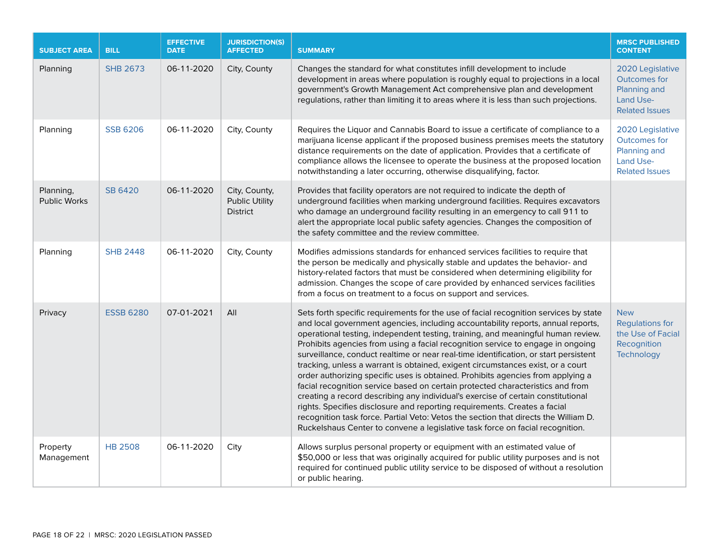| <b>SUBJECT AREA</b>              | <b>BILL</b>      | <b>EFFECTIVE</b><br><b>DATE</b> | <b>JURISDICTION(S)</b><br><b>AFFECTED</b>                 | <b>SUMMARY</b>                                                                                                                                                                                                                                                                                                                                                                                                                                                                                                                                                                                                                                                                                                                                                                                                                                                                                                                                                                                                                           | <b>MRSC PUBLISHED</b><br><b>CONTENT</b>                                                       |
|----------------------------------|------------------|---------------------------------|-----------------------------------------------------------|------------------------------------------------------------------------------------------------------------------------------------------------------------------------------------------------------------------------------------------------------------------------------------------------------------------------------------------------------------------------------------------------------------------------------------------------------------------------------------------------------------------------------------------------------------------------------------------------------------------------------------------------------------------------------------------------------------------------------------------------------------------------------------------------------------------------------------------------------------------------------------------------------------------------------------------------------------------------------------------------------------------------------------------|-----------------------------------------------------------------------------------------------|
| Planning                         | <b>SHB 2673</b>  | 06-11-2020                      | City, County                                              | Changes the standard for what constitutes infill development to include<br>development in areas where population is roughly equal to projections in a local<br>government's Growth Management Act comprehensive plan and development<br>regulations, rather than limiting it to areas where it is less than such projections.                                                                                                                                                                                                                                                                                                                                                                                                                                                                                                                                                                                                                                                                                                            | 2020 Legislative<br>Outcomes for<br>Planning and<br><b>Land Use-</b><br><b>Related Issues</b> |
| Planning                         | <b>SSB 6206</b>  | 06-11-2020                      | City, County                                              | Requires the Liquor and Cannabis Board to issue a certificate of compliance to a<br>marijuana license applicant if the proposed business premises meets the statutory<br>distance requirements on the date of application. Provides that a certificate of<br>compliance allows the licensee to operate the business at the proposed location<br>notwithstanding a later occurring, otherwise disqualifying, factor.                                                                                                                                                                                                                                                                                                                                                                                                                                                                                                                                                                                                                      | 2020 Legislative<br><b>Outcomes for</b><br>Planning and<br>Land Use-<br><b>Related Issues</b> |
| Planning,<br><b>Public Works</b> | <b>SB 6420</b>   | 06-11-2020                      | City, County,<br><b>Public Utility</b><br><b>District</b> | Provides that facility operators are not required to indicate the depth of<br>underground facilities when marking underground facilities. Requires excavators<br>who damage an underground facility resulting in an emergency to call 911 to<br>alert the appropriate local public safety agencies. Changes the composition of<br>the safety committee and the review committee.                                                                                                                                                                                                                                                                                                                                                                                                                                                                                                                                                                                                                                                         |                                                                                               |
| Planning                         | <b>SHB 2448</b>  | 06-11-2020                      | City, County                                              | Modifies admissions standards for enhanced services facilities to require that<br>the person be medically and physically stable and updates the behavior- and<br>history-related factors that must be considered when determining eligibility for<br>admission. Changes the scope of care provided by enhanced services facilities<br>from a focus on treatment to a focus on support and services.                                                                                                                                                                                                                                                                                                                                                                                                                                                                                                                                                                                                                                      |                                                                                               |
| Privacy                          | <b>ESSB 6280</b> | 07-01-2021                      | All                                                       | Sets forth specific requirements for the use of facial recognition services by state<br>and local government agencies, including accountability reports, annual reports,<br>operational testing, independent testing, training, and meaningful human review.<br>Prohibits agencies from using a facial recognition service to engage in ongoing<br>surveillance, conduct realtime or near real-time identification, or start persistent<br>tracking, unless a warrant is obtained, exigent circumstances exist, or a court<br>order authorizing specific uses is obtained. Prohibits agencies from applying a<br>facial recognition service based on certain protected characteristics and from<br>creating a record describing any individual's exercise of certain constitutional<br>rights. Specifies disclosure and reporting requirements. Creates a facial<br>recognition task force. Partial Veto: Vetos the section that directs the William D.<br>Ruckelshaus Center to convene a legislative task force on facial recognition. | <b>New</b><br><b>Regulations for</b><br>the Use of Facial<br>Recognition<br>Technology        |
| Property<br>Management           | <b>HB 2508</b>   | 06-11-2020                      | City                                                      | Allows surplus personal property or equipment with an estimated value of<br>\$50,000 or less that was originally acquired for public utility purposes and is not<br>required for continued public utility service to be disposed of without a resolution<br>or public hearing.                                                                                                                                                                                                                                                                                                                                                                                                                                                                                                                                                                                                                                                                                                                                                           |                                                                                               |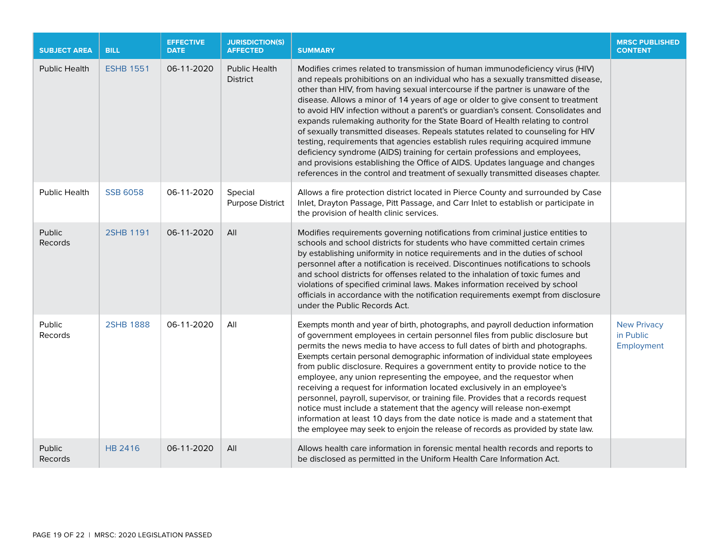| <b>SUBJECT AREA</b>      | <b>BILL</b>      | <b>EFFECTIVE</b><br><b>DATE</b> | <b>JURISDICTION(S)</b><br><b>AFFECTED</b> | <b>SUMMARY</b>                                                                                                                                                                                                                                                                                                                                                                                                                                                                                                                                                                                                                                                                                                                                                                                                                                                                                                                           | <b>MRSC PUBLISHED</b><br><b>CONTENT</b>       |
|--------------------------|------------------|---------------------------------|-------------------------------------------|------------------------------------------------------------------------------------------------------------------------------------------------------------------------------------------------------------------------------------------------------------------------------------------------------------------------------------------------------------------------------------------------------------------------------------------------------------------------------------------------------------------------------------------------------------------------------------------------------------------------------------------------------------------------------------------------------------------------------------------------------------------------------------------------------------------------------------------------------------------------------------------------------------------------------------------|-----------------------------------------------|
| <b>Public Health</b>     | <b>ESHB 1551</b> | 06-11-2020                      | <b>Public Health</b><br><b>District</b>   | Modifies crimes related to transmission of human immunodeficiency virus (HIV)<br>and repeals prohibitions on an individual who has a sexually transmitted disease,<br>other than HIV, from having sexual intercourse if the partner is unaware of the<br>disease. Allows a minor of 14 years of age or older to give consent to treatment<br>to avoid HIV infection without a parent's or guardian's consent. Consolidates and<br>expands rulemaking authority for the State Board of Health relating to control<br>of sexually transmitted diseases. Repeals statutes related to counseling for HIV<br>testing, requirements that agencies establish rules requiring acquired immune<br>deficiency syndrome (AIDS) training for certain professions and employees,<br>and provisions establishing the Office of AIDS. Updates language and changes<br>references in the control and treatment of sexually transmitted diseases chapter. |                                               |
| <b>Public Health</b>     | <b>SSB 6058</b>  | 06-11-2020                      | Special<br><b>Purpose District</b>        | Allows a fire protection district located in Pierce County and surrounded by Case<br>Inlet, Drayton Passage, Pitt Passage, and Carr Inlet to establish or participate in<br>the provision of health clinic services.                                                                                                                                                                                                                                                                                                                                                                                                                                                                                                                                                                                                                                                                                                                     |                                               |
| Public<br><b>Records</b> | 2SHB 1191        | 06-11-2020                      | All                                       | Modifies requirements governing notifications from criminal justice entities to<br>schools and school districts for students who have committed certain crimes<br>by establishing uniformity in notice requirements and in the duties of school<br>personnel after a notification is received. Discontinues notifications to schools<br>and school districts for offenses related to the inhalation of toxic fumes and<br>violations of specified criminal laws. Makes information received by school<br>officials in accordance with the notification requirements exempt from disclosure<br>under the Public Records Act.                                                                                                                                                                                                                                                                                                              |                                               |
| Public<br>Records        | <b>2SHB 1888</b> | 06-11-2020                      | All                                       | Exempts month and year of birth, photographs, and payroll deduction information<br>of government employees in certain personnel files from public disclosure but<br>permits the news media to have access to full dates of birth and photographs.<br>Exempts certain personal demographic information of individual state employees<br>from public disclosure. Requires a government entity to provide notice to the<br>employee, any union representing the empoyee, and the requestor when<br>receiving a request for information located exclusively in an employee's<br>personnel, payroll, supervisor, or training file. Provides that a records request<br>notice must include a statement that the agency will release non-exempt<br>information at least 10 days from the date notice is made and a statement that<br>the employee may seek to enjoin the release of records as provided by state law.                           | <b>New Privacy</b><br>in Public<br>Employment |
| Public<br>Records        | <b>HB 2416</b>   | 06-11-2020                      | All                                       | Allows health care information in forensic mental health records and reports to<br>be disclosed as permitted in the Uniform Health Care Information Act.                                                                                                                                                                                                                                                                                                                                                                                                                                                                                                                                                                                                                                                                                                                                                                                 |                                               |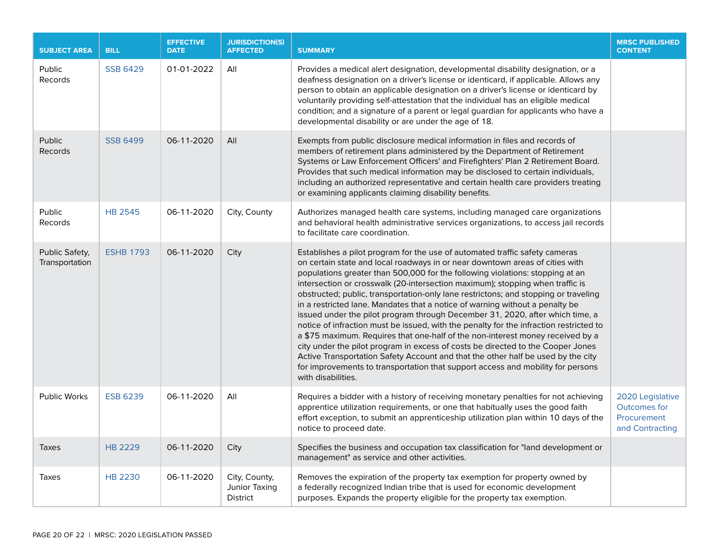| <b>SUBJECT AREA</b>              | <b>BILL</b>      | <b>EFFECTIVE</b><br><b>DATE</b> | <b>JURISDICTION(S)</b><br><b>AFFECTED</b>         | <b>SUMMARY</b>                                                                                                                                                                                                                                                                                                                                                                                                                                                                                                                                                                                                                                                                                                                                                                                                                                                                                                                                                                                                                                    | <b>MRSC PUBLISHED</b><br><b>CONTENT</b>                                   |
|----------------------------------|------------------|---------------------------------|---------------------------------------------------|---------------------------------------------------------------------------------------------------------------------------------------------------------------------------------------------------------------------------------------------------------------------------------------------------------------------------------------------------------------------------------------------------------------------------------------------------------------------------------------------------------------------------------------------------------------------------------------------------------------------------------------------------------------------------------------------------------------------------------------------------------------------------------------------------------------------------------------------------------------------------------------------------------------------------------------------------------------------------------------------------------------------------------------------------|---------------------------------------------------------------------------|
| Public<br>Records                | <b>SSB 6429</b>  | 01-01-2022                      | All                                               | Provides a medical alert designation, developmental disability designation, or a<br>deafness designation on a driver's license or identicard, if applicable. Allows any<br>person to obtain an applicable designation on a driver's license or identicard by<br>voluntarily providing self-attestation that the individual has an eligible medical<br>condition; and a signature of a parent or legal guardian for applicants who have a<br>developmental disability or are under the age of 18.                                                                                                                                                                                                                                                                                                                                                                                                                                                                                                                                                  |                                                                           |
| Public<br><b>Records</b>         | <b>SSB 6499</b>  | 06-11-2020                      | All                                               | Exempts from public disclosure medical information in files and records of<br>members of retirement plans administered by the Department of Retirement<br>Systems or Law Enforcement Officers' and Firefighters' Plan 2 Retirement Board.<br>Provides that such medical information may be disclosed to certain individuals,<br>including an authorized representative and certain health care providers treating<br>or examining applicants claiming disability benefits.                                                                                                                                                                                                                                                                                                                                                                                                                                                                                                                                                                        |                                                                           |
| Public<br>Records                | <b>HB 2545</b>   | 06-11-2020                      | City, County                                      | Authorizes managed health care systems, including managed care organizations<br>and behavioral health administrative services organizations, to access jail records<br>to facilitate care coordination.                                                                                                                                                                                                                                                                                                                                                                                                                                                                                                                                                                                                                                                                                                                                                                                                                                           |                                                                           |
| Public Safety,<br>Transportation | <b>ESHB 1793</b> | 06-11-2020                      | City                                              | Establishes a pilot program for the use of automated traffic safety cameras<br>on certain state and local roadways in or near downtown areas of cities with<br>populations greater than 500,000 for the following violations: stopping at an<br>intersection or crosswalk (20-intersection maximum); stopping when traffic is<br>obstructed; public, transportation-only lane restrictons; and stopping or traveling<br>in a restricted lane. Mandates that a notice of warning without a penalty be<br>issued under the pilot program through December 31, 2020, after which time, a<br>notice of infraction must be issued, with the penalty for the infraction restricted to<br>a \$75 maximum. Requires that one-half of the non-interest money received by a<br>city under the pilot program in excess of costs be directed to the Cooper Jones<br>Active Transportation Safety Account and that the other half be used by the city<br>for improvements to transportation that support access and mobility for persons<br>with disabilities. |                                                                           |
| Public Works                     | <b>ESB 6239</b>  | 06-11-2020                      | All                                               | Requires a bidder with a history of receiving monetary penalties for not achieving<br>apprentice utilization requirements, or one that habitually uses the good faith<br>effort exception, to submit an apprenticeship utilization plan within 10 days of the<br>notice to proceed date.                                                                                                                                                                                                                                                                                                                                                                                                                                                                                                                                                                                                                                                                                                                                                          | 2020 Legislative<br><b>Outcomes for</b><br>Procurement<br>and Contracting |
| <b>Taxes</b>                     | <b>HB 2229</b>   | 06-11-2020                      | City                                              | Specifies the business and occupation tax classification for "land development or<br>management" as service and other activities.                                                                                                                                                                                                                                                                                                                                                                                                                                                                                                                                                                                                                                                                                                                                                                                                                                                                                                                 |                                                                           |
| Taxes                            | <b>HB 2230</b>   | 06-11-2020                      | City, County,<br>Junior Taxing<br><b>District</b> | Removes the expiration of the property tax exemption for property owned by<br>a federally recognized Indian tribe that is used for economic development<br>purposes. Expands the property eligible for the property tax exemption.                                                                                                                                                                                                                                                                                                                                                                                                                                                                                                                                                                                                                                                                                                                                                                                                                |                                                                           |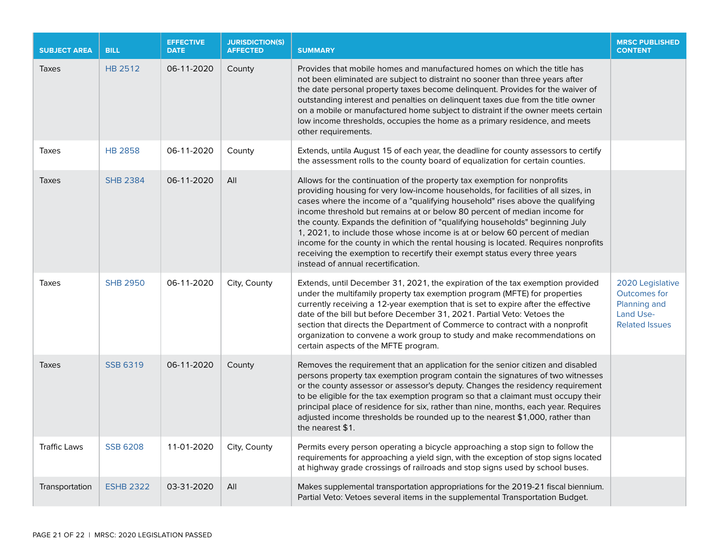| <b>SUBJECT AREA</b> | <b>BILL</b>      | <b>EFFECTIVE</b><br><b>DATE</b> | <b>JURISDICTION(S)</b><br><b>AFFECTED</b> | <b>SUMMARY</b>                                                                                                                                                                                                                                                                                                                                                                                                                                                                                                                                                                                                                                                                                    | <b>MRSC PUBLISHED</b><br><b>CONTENT</b>                                                       |
|---------------------|------------------|---------------------------------|-------------------------------------------|---------------------------------------------------------------------------------------------------------------------------------------------------------------------------------------------------------------------------------------------------------------------------------------------------------------------------------------------------------------------------------------------------------------------------------------------------------------------------------------------------------------------------------------------------------------------------------------------------------------------------------------------------------------------------------------------------|-----------------------------------------------------------------------------------------------|
| <b>Taxes</b>        | HB 2512          | 06-11-2020                      | County                                    | Provides that mobile homes and manufactured homes on which the title has<br>not been eliminated are subject to distraint no sooner than three years after<br>the date personal property taxes become delinquent. Provides for the waiver of<br>outstanding interest and penalties on delinquent taxes due from the title owner<br>on a mobile or manufactured home subject to distraint if the owner meets certain<br>low income thresholds, occupies the home as a primary residence, and meets<br>other requirements.                                                                                                                                                                           |                                                                                               |
| Taxes               | <b>HB 2858</b>   | 06-11-2020                      | County                                    | Extends, untila August 15 of each year, the deadline for county assessors to certify<br>the assessment rolls to the county board of equalization for certain counties.                                                                                                                                                                                                                                                                                                                                                                                                                                                                                                                            |                                                                                               |
| <b>Taxes</b>        | <b>SHB 2384</b>  | 06-11-2020                      | All                                       | Allows for the continuation of the property tax exemption for nonprofits<br>providing housing for very low-income households, for facilities of all sizes, in<br>cases where the income of a "qualifying household" rises above the qualifying<br>income threshold but remains at or below 80 percent of median income for<br>the county. Expands the definition of "qualifying households" beginning July<br>1, 2021, to include those whose income is at or below 60 percent of median<br>income for the county in which the rental housing is located. Requires nonprofits<br>receiving the exemption to recertify their exempt status every three years<br>instead of annual recertification. |                                                                                               |
| Taxes               | <b>SHB 2950</b>  | 06-11-2020                      | City, County                              | Extends, until December 31, 2021, the expiration of the tax exemption provided<br>under the multifamily property tax exemption program (MFTE) for properties<br>currently receiving a 12-year exemption that is set to expire after the effective<br>date of the bill but before December 31, 2021. Partial Veto: Vetoes the<br>section that directs the Department of Commerce to contract with a nonprofit<br>organization to convene a work group to study and make recommendations on<br>certain aspects of the MFTE program.                                                                                                                                                                 | 2020 Legislative<br><b>Outcomes for</b><br>Planning and<br>Land Use-<br><b>Related Issues</b> |
| <b>Taxes</b>        | <b>SSB 6319</b>  | 06-11-2020                      | County                                    | Removes the requirement that an application for the senior citizen and disabled<br>persons property tax exemption program contain the signatures of two witnesses<br>or the county assessor or assessor's deputy. Changes the residency requirement<br>to be eligible for the tax exemption program so that a claimant must occupy their<br>principal place of residence for six, rather than nine, months, each year. Requires<br>adjusted income thresholds be rounded up to the nearest \$1,000, rather than<br>the nearest \$1.                                                                                                                                                               |                                                                                               |
| <b>Traffic Laws</b> | <b>SSB 6208</b>  | 11-01-2020                      | City, County                              | Permits every person operating a bicycle approaching a stop sign to follow the<br>requirements for approaching a yield sign, with the exception of stop signs located<br>at highway grade crossings of railroads and stop signs used by school buses.                                                                                                                                                                                                                                                                                                                                                                                                                                             |                                                                                               |
| Transportation      | <b>ESHB 2322</b> | 03-31-2020                      | All                                       | Makes supplemental transportation appropriations for the 2019-21 fiscal biennium.<br>Partial Veto: Vetoes several items in the supplemental Transportation Budget.                                                                                                                                                                                                                                                                                                                                                                                                                                                                                                                                |                                                                                               |